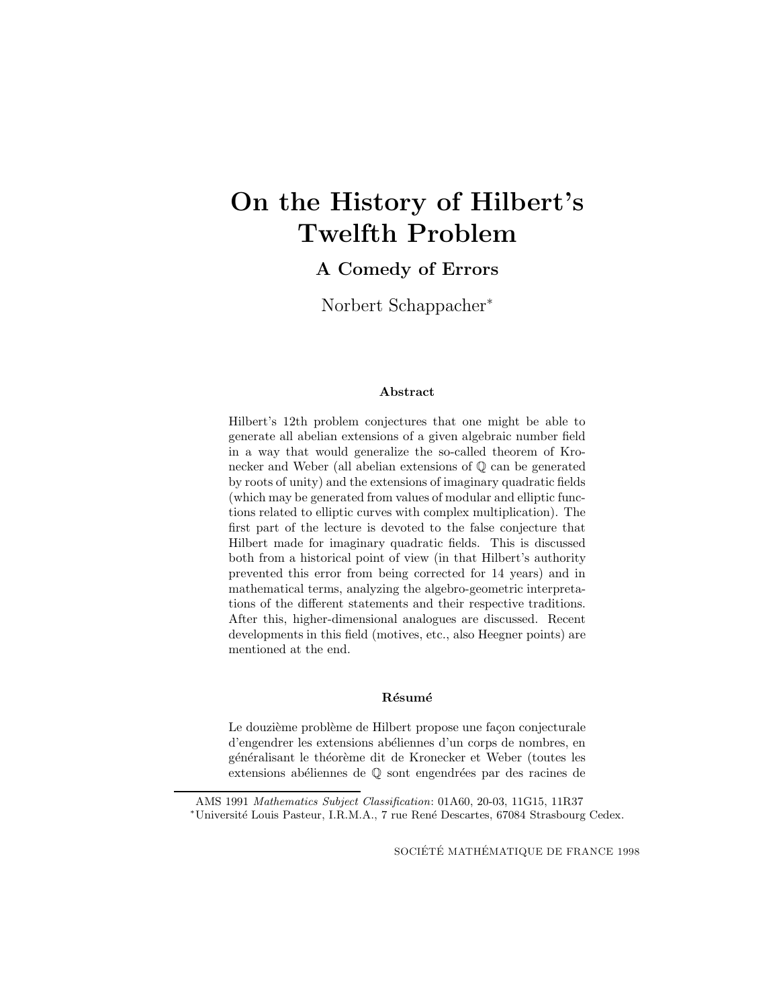# **On the History of Hilbert's Twelfth Problem**

# **A Comedy of Errors**

Norbert Schappacher<sup>∗</sup>

#### **Abstract**

Hilbert's 12th problem conjectures that one might be able to generate all abelian extensions of a given algebraic number field in a way that would generalize the so-called theorem of Kronecker and Weber (all abelian extensions of Q can be generated by roots of unity) and the extensions of imaginary quadratic fields (which may be generated from values of modular and elliptic functions related to elliptic curves with complex multiplication). The first part of the lecture is devoted to the false conjecture that Hilbert made for imaginary quadratic fields. This is discussed both from a historical point of view (in that Hilbert's authority prevented this error from being corrected for 14 years) and in mathematical terms, analyzing the algebro-geometric interpretations of the different statements and their respective traditions. After this, higher-dimensional analogues are discussed. Recent developments in this field (motives, etc., also Heegner points) are mentioned at the end.

#### **R´esum´e**

Le douzième problème de Hilbert propose une façon conjecturale d'engendrer les extensions abéliennes d'un corps de nombres, en généralisant le théorème dit de Kronecker et Weber (toutes les extensions abéliennes de  $\mathbb O$  sont engendrées par des racines de

AMS 1991 Mathematics Subject Classification: 01A60, 20-03, 11G15, 11R37

<sup>∗</sup>Universit´e Louis Pasteur, I.R.M.A., 7 rue Ren´e Descartes, 67084 Strasbourg Cedex.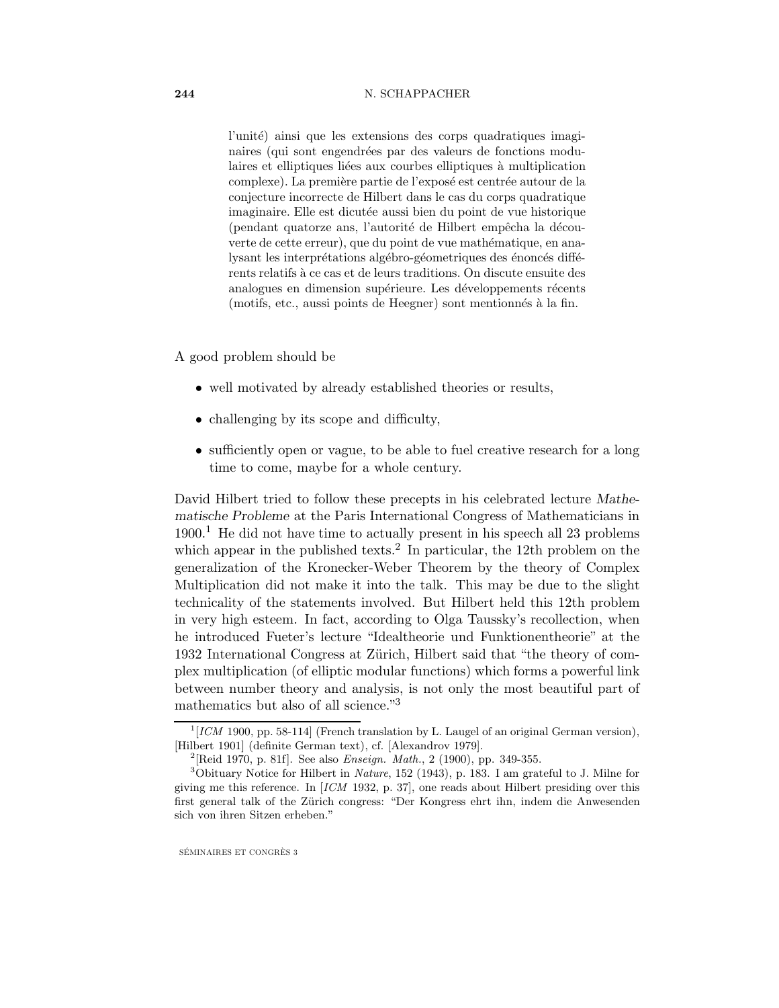#### **244** N.SCHAPPACHER

l'unité) ainsi que les extensions des corps quadratiques imaginaires (qui sont engendrées par des valeurs de fonctions modulaires et elliptiques liées aux courbes elliptiques à multiplication complexe). La première partie de l'exposé est centrée autour de la conjecture incorrecte de Hilbert dans le cas du corps quadratique imaginaire. Elle est dicutée aussi bien du point de vue historique (pendant quatorze ans, l'autorité de Hilbert empêcha la découverte de cette erreur), que du point de vue mathématique, en analysant les interprétations algébro-géometriques des énoncés différents relatifs à ce cas et de leurs traditions. On discute ensuite des analogues en dimension supérieure. Les développements récents (motifs, etc., aussi points de Heegner) sont mentionnés à la fin.

A good problem should be

- well motivated by already established theories or results,
- challenging by its scope and difficulty,
- sufficiently open or vague, to be able to fuel creative research for a long time to come, maybe for a whole century.

David Hilbert tried to follow these precepts in his celebrated lecture *Mathematische Probleme* at the Paris International Congress of Mathematicians in  $1900<sup>1</sup>$  He did not have time to actually present in his speech all 23 problems which appear in the published texts.<sup>2</sup> In particular, the 12th problem on the generalization of the Kronecker-Weber Theorem by the theory of Complex Multiplication did not make it into the talk. This may be due to the slight technicality of the statements involved. But Hilbert held this 12th problem in very high esteem. In fact, according to Olga Taussky's recollection, when he introduced Fueter's lecture "Idealtheorie und Funktionentheorie" at the 1932 International Congress at Zurich, Hilbert said that "the theory of com- ¨ plex multiplication (of elliptic modular functions) which forms a powerful link between number theory and analysis, is not only the most beautiful part of mathematics but also of all science."<sup>3</sup>

 $1$ [ICM 1900, pp. 58-114] (French translation by L. Laugel of an original German version), [Hilbert 1901] (definite German text), cf. [Alexandrov 1979].

<sup>&</sup>lt;sup>2</sup>[Reid 1970, p. 81f]. See also *Enseign. Math.*, 2 (1900), pp. 349-355.

 $3$ Obituary Notice for Hilbert in *Nature*, 152 (1943), p. 183. I am grateful to J. Milne for giving me this reference. In  $[ICM 1932, p. 37]$ , one reads about Hilbert presiding over this first general talk of the Zürich congress: "Der Kongress ehrt ihn, indem die Anwesenden sich von ihren Sitzen erheben."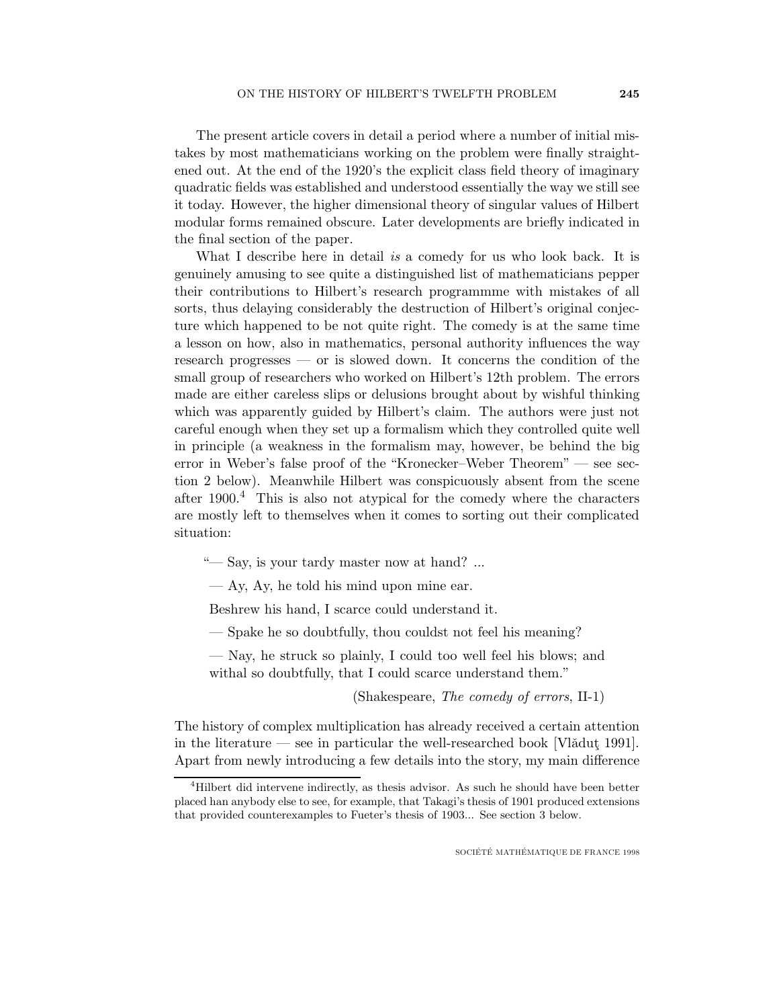The present article covers in detail a period where a number of initial mistakes by most mathematicians working on the problem were finally straightened out. At the end of the 1920's the explicit class field theory of imaginary quadratic fields was established and understood essentially the way we still see it today. However, the higher dimensional theory of singular values of Hilbert modular forms remained obscure. Later developments are briefly indicated in the final section of the paper.

What I describe here in detail is a comedy for us who look back. It is genuinely amusing to see quite a distinguished list of mathematicians pepper their contributions to Hilbert's research programmme with mistakes of all sorts, thus delaying considerably the destruction of Hilbert's original conjecture which happened to be not quite right. The comedy is at the same time a lesson on how, also in mathematics, personal authority influences the way research progresses — or is slowed down. It concerns the condition of the small group of researchers who worked on Hilbert's 12th problem. The errors made are either careless slips or delusions brought about by wishful thinking which was apparently guided by Hilbert's claim. The authors were just not careful enough when they set up a formalism which they controlled quite well in principle (a weakness in the formalism may, however, be behind the big error in Weber's false proof of the "Kronecker–Weber Theorem" — see section 2 below). Meanwhile Hilbert was conspicuously absent from the scene after  $1900<sup>4</sup>$ . This is also not atypical for the comedy where the characters are mostly left to themselves when it comes to sorting out their complicated situation:

- "— Say, is your tardy master now at hand? ...
- Ay, Ay, he told his mind upon mine ear.

Beshrew his hand, I scarce could understand it.

— Spake he so doubtfully, thou couldst not feel his meaning?

— Nay, he struck so plainly, I could too well feel his blows; and withal so doubtfully, that I could scarce understand them."

(Shakespeare, The comedy of errors, II-1)

The history of complex multiplication has already received a certain attention in the literature — see in particular the well-researched book [Vlǎduţ 1991]. Apart from newly introducing a few details into the story, my main difference

<sup>&</sup>lt;sup>4</sup>Hilbert did intervene indirectly, as thesis advisor. As such he should have been better placed han anybody else to see, for example, that Takagi's thesis of 1901 produced extensions that provided counterexamples to Fueter's thesis of 1903... See section 3 below.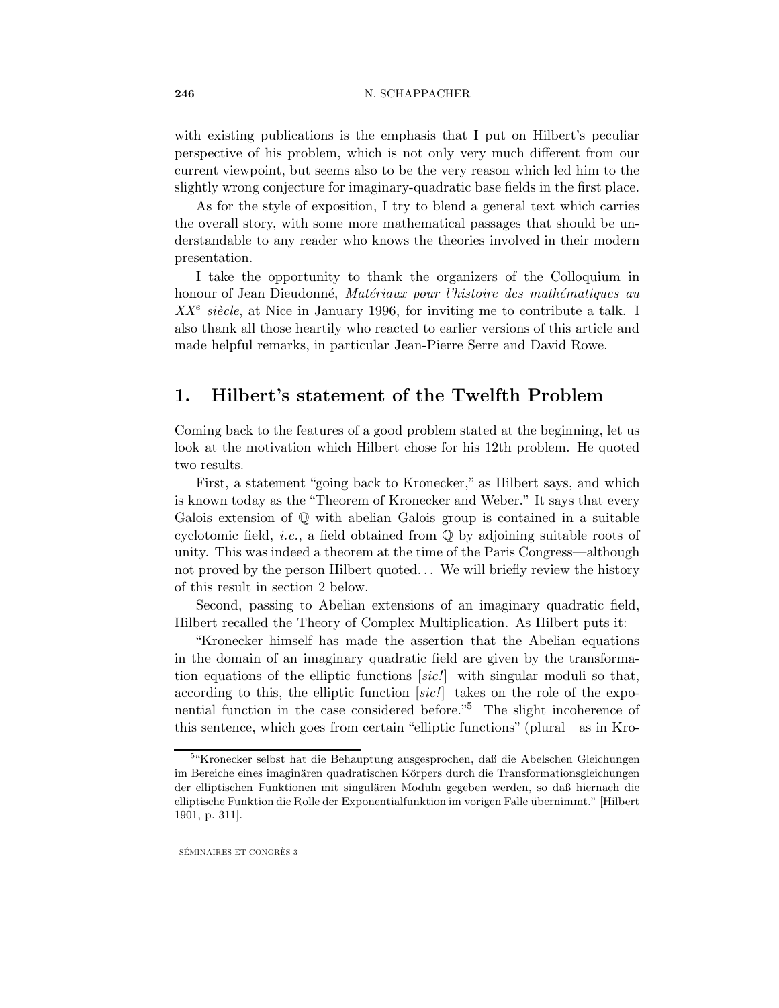with existing publications is the emphasis that I put on Hilbert's peculiar perspective of his problem, which is not only very much different from our current viewpoint, but seems also to be the very reason which led him to the slightly wrong conjecture for imaginary-quadratic base fields in the first place.

As for the style of exposition, I try to blend a general text which carries the overall story, with some more mathematical passages that should be understandable to any reader who knows the theories involved in their modern presentation.

I take the opportunity to thank the organizers of the Colloquium in honour of Jean Dieudonné, Matériaux pour l'histoire des mathématiques au  $XX<sup>e</sup>$  siècle, at Nice in January 1996, for inviting me to contribute a talk. I also thankall those heartily who reacted to earlier versions of this article and made helpful remarks, in particular Jean-Pierre Serre and David Rowe.

## **1. Hilbert's statement of the Twelfth Problem**

Coming back to the features of a good problem stated at the beginning, let us look at the motivation which Hilbert chose for his 12th problem. He quoted two results.

First, a statement "going back to Kronecker," as Hilbert says, and which is known today as the "Theorem of Kronecker and Weber." It says that every Galois extension of Q with abelian Galois group is contained in a suitable cyclotomic field, *i.e.*, a field obtained from  $\mathbb Q$  by adjoining suitable roots of unity. This was indeed a theorem at the time of the Paris Congress—although not proved by the person Hilbert quoted. . . We will briefly review the history of this result in section 2 below.

Second, passing to Abelian extensions of an imaginary quadratic field, Hilbert recalled the Theory of Complex Multiplication. As Hilbert puts it:

"Kronecker himself has made the assertion that the Abelian equations in the domain of an imaginary quadratic field are given by the transformation equations of the elliptic functions  $\left\vert \dot{sec}^{i}\right\vert$  with singular moduli so that, according to this, the elliptic function [sic!] takes on the role of the exponential function in the case considered before."<sup>5</sup> The slight incoherence of this sentence, which goes from certain "elliptic functions" (plural—as in Kro-

<sup>&</sup>lt;sup>5</sup>"Kronecker selbst hat die Behauptung ausgesprochen, daß die Abelschen Gleichungen im Bereiche eines imaginären quadratischen Körpers durch die Transformationsgleichungen der elliptischen Funktionen mit singulären Moduln gegeben werden, so daß hiernach die elliptische Funktion die Rolle der Exponentialfunktion im vorigen Falle ubernimmt." [Hilbert ¨ 1901, p.311].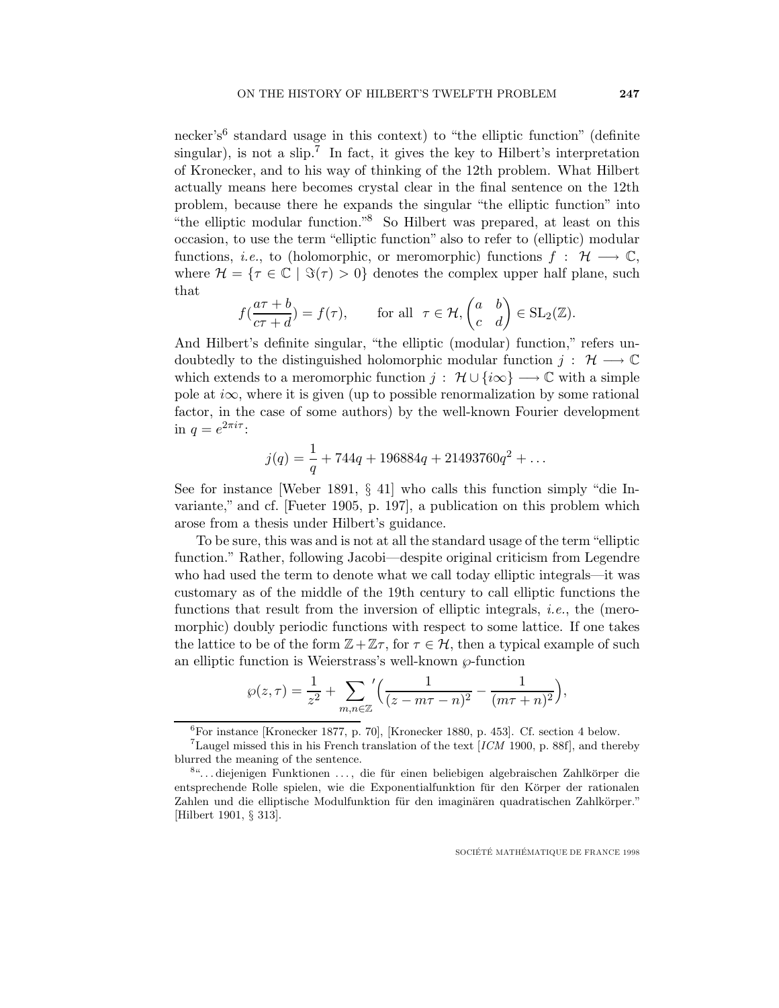necker's<sup>6</sup> standard usage in this context) to "the elliptic function" (definite singular), is not a slip.<sup>7</sup> In fact, it gives the key to Hilbert's interpretation of Kronecker, and to his way of thinking of the 12th problem. What Hilbert actually means here becomes crystal clear in the final sentence on the 12th problem, because there he expands the singular "the elliptic function" into "the elliptic modular function."<sup>8</sup> So Hilbert was prepared, at least on this occasion, to use the term "elliptic function" also to refer to (elliptic) modular functions, *i.e.*, to (holomorphic, or meromorphic) functions  $f : \mathcal{H} \longrightarrow \mathbb{C}$ , where  $\mathcal{H} = {\tau \in \mathbb{C} \mid \Im(\tau) > 0}$  denotes the complex upper half plane, such that

$$
f(\frac{a\tau+b}{c\tau+d}) = f(\tau)
$$
, for all  $\tau \in \mathcal{H}$ ,  $\begin{pmatrix} a & b \\ c & d \end{pmatrix} \in SL_2(\mathbb{Z})$ .

And Hilbert's definite singular, "the elliptic (modular) function," refers undoubtedly to the distinguished holomorphic modular function  $j : \mathcal{H} \longrightarrow \mathbb{C}$ which extends to a meromorphic function  $j : \mathcal{H} \cup \{i\infty\} \longrightarrow \mathbb{C}$  with a simple pole at  $i\infty$ , where it is given (up to possible renormalization by some rational factor, in the case of some authors) by the well-known Fourier development in  $q = e^{2\pi i \tau}$ :

$$
j(q) = \frac{1}{q} + 744q + 196884q + 21493760q^{2} + \dots
$$

See for instance [Weber 1891, § 41] who calls this function simply "die Invariante," and cf. [Fueter 1905, p. 197], a publication on this problem which arose from a thesis under Hilbert's guidance.

To be sure, this was and is not at all the standard usage of the term "elliptic function." Rather, following Jacobi—despite original criticism from Legendre who had used the term to denote what we call today elliptic integrals—it was customary as of the middle of the 19th century to call elliptic functions the functions that result from the inversion of elliptic integrals, *i.e.*, the (meromorphic) doubly periodic functions with respect to some lattice. If one takes the lattice to be of the form  $\mathbb{Z}+\mathbb{Z}\tau$ , for  $\tau \in \mathcal{H}$ , then a typical example of such an elliptic function is Weierstrass's well-known  $\wp$ -function

$$
\wp(z,\tau) = \frac{1}{z^2} + \sum_{m,n \in \mathbb{Z}}' \left( \frac{1}{(z - m\tau - n)^2} - \frac{1}{(m\tau + n)^2} \right),\,
$$

 ${}^{6}$ For instance [Kronecker 1877, p. 70], [Kronecker 1880, p. 453]. Cf. section 4 below.

<sup>&</sup>lt;sup>7</sup>Laugel missed this in his French translation of the text  $[ICM 1900, p. 88f]$ , and thereby blurred the meaning of the sentence.

 $8^{\omega}$ ...diejenigen Funktionen ..., die für einen beliebigen algebraischen Zahlkörper die entsprechende Rolle spielen, wie die Exponentialfunktion für den Körper der rationalen Zahlen und die elliptische Modulfunktion für den imaginären quadratischen Zahlkörper." [Hilbert 1901, § 313].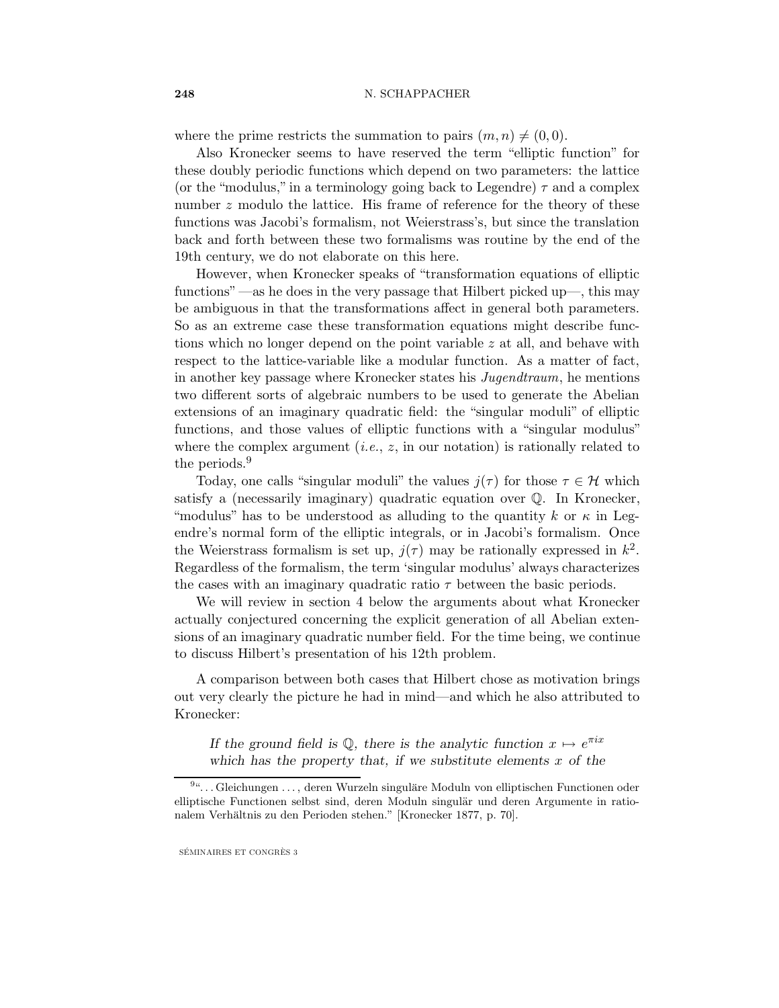#### **248** N.SCHAPPACHER

where the prime restricts the summation to pairs  $(m, n) \neq (0, 0)$ .

Also Kronecker seems to have reserved the term "elliptic function" for these doubly periodic functions which depend on two parameters: the lattice (or the "modulus," in a terminology going back to Legendre)  $\tau$  and a complex number z modulo the lattice. His frame of reference for the theory of these functions was Jacobi's formalism, not Weierstrass's, but since the translation backand forth between these two formalisms was routine by the end of the 19th century, we do not elaborate on this here.

However, when Kronecker speaks of "transformation equations of elliptic functions"—as he does in the very passage that Hilbert picked up—, this may be ambiguous in that the transformations affect in general both parameters. So as an extreme case these transformation equations might describe functions which no longer depend on the point variable z at all, and behave with respect to the lattice-variable like a modular function. As a matter of fact, in another key passage where Kronecker states his Jugendtraum, he mentions two different sorts of algebraic numbers to be used to generate the Abelian extensions of an imaginary quadratic field: the "singular moduli" of elliptic functions, and those values of elliptic functions with a "singular modulus" where the complex argument  $(i.e., z, in our notation)$  is rationally related to the periods.<sup>9</sup>

Today, one calls "singular moduli" the values  $j(\tau)$  for those  $\tau \in \mathcal{H}$  which satisfy a (necessarily imaginary) quadratic equation over  $\mathbb{Q}$ . In Kronecker, "modulus" has to be understood as alluding to the quantity k or  $\kappa$  in Legendre's normal form of the elliptic integrals, or in Jacobi's formalism. Once the Weierstrass formalism is set up,  $j(\tau)$  may be rationally expressed in  $k^2$ . Regardless of the formalism, the term 'singular modulus' always characterizes the cases with an imaginary quadratic ratio  $\tau$  between the basic periods.

We will review in section 4 below the arguments about what Kronecker actually conjectured concerning the explicit generation of all Abelian extensions of an imaginary quadratic number field. For the time being, we continue to discuss Hilbert's presentation of his 12th problem.

A comparison between both cases that Hilbert chose as motivation brings out very clearly the picture he had in mind—and which he also attributed to Kronecker:

*If the ground field is*  $\mathbb{Q}$ *, there is the analytic function*  $x \mapsto e^{\pi i x}$ *which has the property that, if we substitute elements* x *of the*

 $\mathbb{S}^{\mathfrak{g}}$ ...Gleichungen ..., deren Wurzeln singuläre Moduln von elliptischen Functionen oder elliptische Functionen selbst sind, deren Moduln singulär und deren Argumente in rationalem Verhältnis zu den Perioden stehen." [Kronecker 1877, p. 70].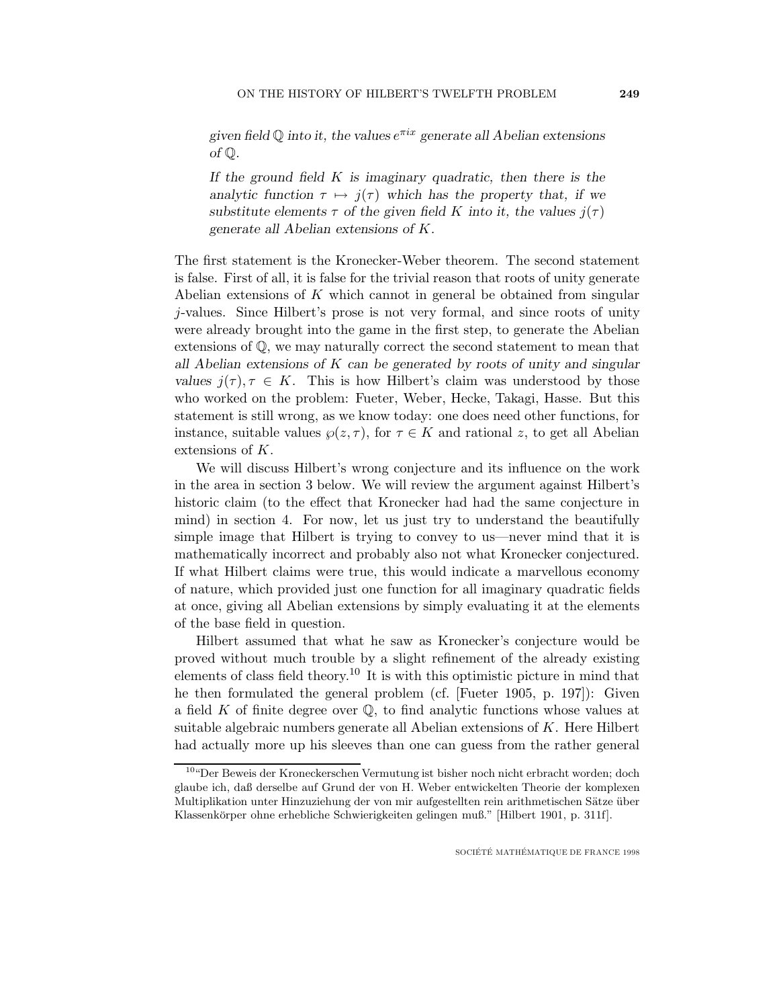*given field*  $\mathbb Q$  *into it, the values*  $e^{\pi i x}$  *generate all Abelian extensions of* Q*.*

*If the ground field* K *is imaginary quadratic, then there is the analytic function*  $\tau \mapsto j(\tau)$  *which has the property that, if we substitute elements*  $\tau$  *of the given field* K *into it, the values*  $j(\tau)$ *generate all Abelian extensions of* K*.*

The first statement is the Kronecker-Weber theorem. The second statement is false. First of all, it is false for the trivial reason that roots of unity generate Abelian extensions of K which cannot in general be obtained from singular j-values. Since Hilbert's prose is not very formal, and since roots of unity were already brought into the game in the first step, to generate the Abelian extensions of Q, we may naturally correct the second statement to mean that *all Abelian extensions of* K *can be generated by roots of unity and singular values*  $j(\tau)$ ,  $\tau \in K$ . This is how Hilbert's claim was understood by those who worked on the problem: Fueter, Weber, Hecke, Takagi, Hasse. But this statement is still wrong, as we know today: one does need other functions, for instance, suitable values  $\varphi(z, \tau)$ , for  $\tau \in K$  and rational z, to get all Abelian extensions of K.

We will discuss Hilbert's wrong conjecture and its influence on the work in the area in section 3 below. We will review the argument against Hilbert's historic claim (to the effect that Kronecker had had the same conjecture in mind) in section 4. For now, let us just try to understand the beautifully simple image that Hilbert is trying to convey to us—never mind that it is mathematically incorrect and probably also not what Kronecker conjectured. If what Hilbert claims were true, this would indicate a marvellous economy of nature, which provided just one function for all imaginary quadratic fields at once, giving all Abelian extensions by simply evaluating it at the elements of the base field in question.

Hilbert assumed that what he saw as Kronecker's conjecture would be proved without much trouble by a slight refinement of the already existing elements of class field theory.<sup>10</sup> It is with this optimistic picture in mind that he then formulated the general problem (cf. [Fueter 1905, p. 197]): Given a field  $K$  of finite degree over  $\mathbb{Q}$ , to find analytic functions whose values at suitable algebraic numbers generate all Abelian extensions of K. Here Hilbert had actually more up his sleeves than one can guess from the rather general

<sup>10</sup>"Der Beweis der Kroneckerschen Vermutung ist bisher noch nicht erbracht worden; doch glaube ich, daß derselbe auf Grund der von H.Weber entwickelten Theorie der komplexen Multiplikation unter Hinzuziehung der von mir aufgestellten rein arithmetischen Sätze über Klassenkörper ohne erhebliche Schwierigkeiten gelingen muß." [Hilbert 1901, p. 311f].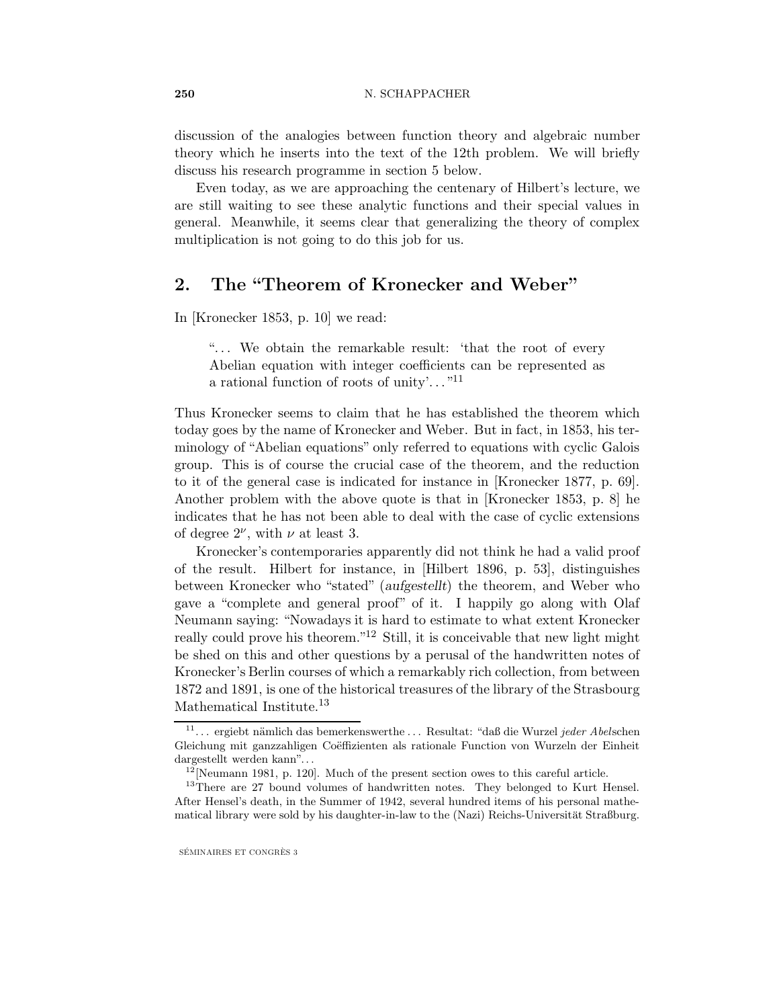discussion of the analogies between function theory and algebraic number theory which he inserts into the text of the 12th problem. We will briefly discuss his research programme in section 5 below.

Even today, as we are approaching the centenary of Hilbert's lecture, we are still waiting to see these analytic functions and their special values in general. Meanwhile, it seems clear that generalizing the theory of complex multiplication is not going to do this job for us.

# **2. The "Theorem of Kronecker and Weber"**

In [Kronecker 1853, p. 10] we read:

"... We obtain the remarkable result: 'that the root of every Abelian equation with integer coefficients can be represented as a rational function of roots of unity'... $^{"11}$ 

Thus Kronecker seems to claim that he has established the theorem which today goes by the name of Kronecker and Weber. But in fact, in 1853, his terminology of "Abelian equations" only referred to equations with cyclic Galois group. This is of course the crucial case of the theorem, and the reduction to it of the general case is indicated for instance in [Kronecker 1877, p. 69]. Another problem with the above quote is that in [Kronecker 1853, p. 8] he indicates that he has not been able to deal with the case of cyclic extensions of degree  $2^{\nu}$ , with  $\nu$  at least 3.

Kronecker's contemporaries apparently did not think he had a valid proof of the result. Hilbert for instance, in [Hilbert 1896, p. 53], distinguishes between Kronecker who "stated" (*aufgestellt*) the theorem, and Weber who gave a "complete and general proof" of it. I happily go along with Olaf Neumann saying: "Nowadays it is hard to estimate to what extent Kronecker really could prove his theorem."<sup>12</sup> Still, it is conceivable that new light might be shed on this and other questions by a perusal of the handwritten notes of Kronecker's Berlin courses of which a remarkably rich collection, from between 1872 and 1891, is one of the historical treasures of the library of the Strasbourg Mathematical Institute.<sup>13</sup>

<sup>&</sup>lt;sup>11</sup>... ergiebt nämlich das bemerkenswerthe ... Resultat: "daß die Wurzel jeder Abelschen Gleichung mit ganzzahligen Coëffizienten als rationale Function von Wurzeln der Einheit dargestellt werden kann"...

 $12$ [Neumann 1981, p. 120]. Much of the present section owes to this careful article.

<sup>&</sup>lt;sup>13</sup>There are 27 bound volumes of handwritten notes. They belonged to Kurt Hensel. After Hensel's death, in the Summer of 1942, several hundred items of his personal mathematical library were sold by his daughter-in-law to the (Nazi) Reichs-Universität Straßburg.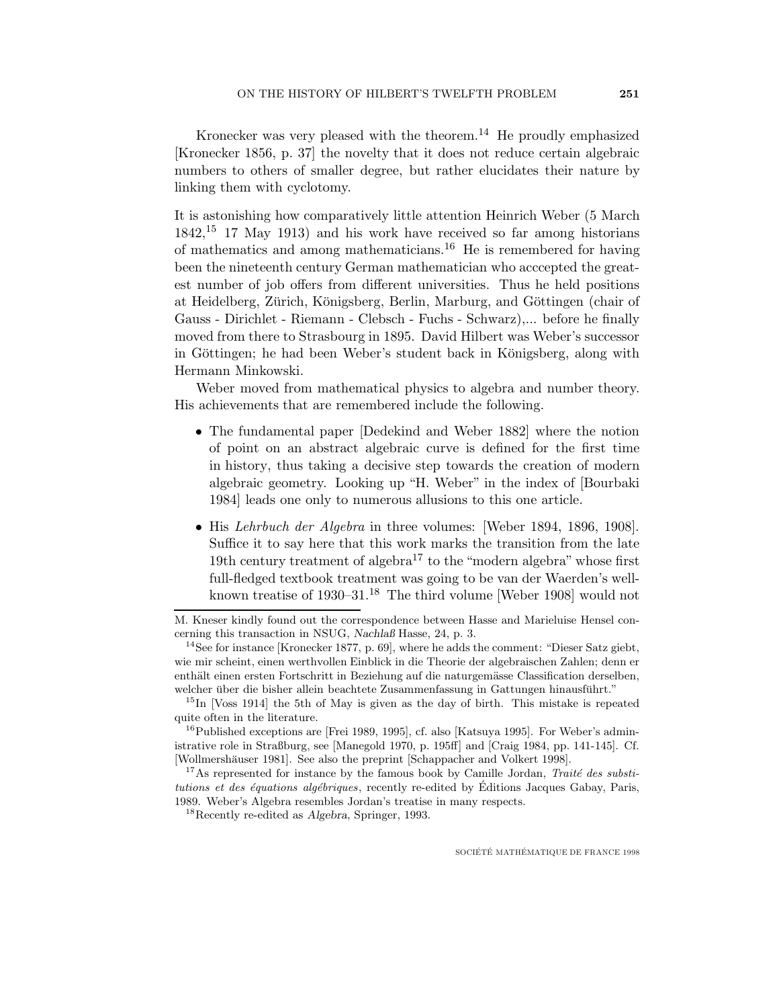Kronecker was very pleased with the theorem.<sup>14</sup> He proudly emphasized [Kronecker 1856, p. 37] the novelty that it does not reduce certain algebraic numbers to others of smaller degree, but rather elucidates their nature by linking them with cyclotomy.

It is astonishing how comparatively little attention Heinrich Weber (5 March  $1842<sup>15</sup>$  17 May 1913) and his work have received so far among historians of mathematics and among mathematicians.<sup>16</sup> He is remembered for having been the nineteenth century German mathematician who acccepted the greatest number of job offers from different universities. Thus he held positions at Heidelberg, Zürich, Königsberg, Berlin, Marburg, and Göttingen (chair of Gauss - Dirichlet - Riemann - Clebsch - Fuchs - Schwarz),... before he finally moved from there to Strasbourg in 1895. David Hilbert was Weber's successor in Göttingen; he had been Weber's student back in Königsberg, along with Hermann Minkowski.

Weber moved from mathematical physics to algebra and number theory. His achievements that are remembered include the following.

- The fundamental paper [Dedekind and Weber 1882] where the notion of point on an abstract algebraic curve is defined for the first time in history, thus taking a decisive step towards the creation of modern algebraic geometry. Looking up "H. Weber" in the index of [Bourbaki 1984] leads one only to numerous allusions to this one article.
- His Lehrbuch der Algebra in three volumes: [Weber 1894, 1896, 1908]. Suffice it to say here that this work marks the transition from the late 19th century treatment of algebra<sup>17</sup> to the "modern algebra" whose first full-fledged textbook treatment was going to be van der Waerden's wellknown treatise of 1930–31.<sup>18</sup> The third volume [Weber 1908] would not

M.Kneser kindly found out the correspondence between Hasse and Marieluise Hensel concerning this transaction in NSUG, *Nachlaß* Hasse, 24, p.3.

<sup>&</sup>lt;sup>14</sup>See for instance [Kronecker 1877, p. 69], where he adds the comment: "Dieser Satz giebt, wie mir scheint, einen werthvollen Einblick in die Theorie der algebraischen Zahlen; denn er enthält einen ersten Fortschritt in Beziehung auf die naturgemässe Classification derselben, welcher über die bisher allein beachtete Zusammenfassung in Gattungen hinausführt."

 $15$ In [Voss 1914] the 5th of May is given as the day of birth. This mistake is repeated quite often in the literature.

 $^{16}$ Published exceptions are [Frei 1989, 1995], cf. also [Katsuya 1995]. For Weber's administrative role in Straßburg, see [Manegold 1970, p.195ff] and [Craig 1984, pp.141-145]. Cf. [Wollmershäuser 1981]. See also the preprint [Schappacher and Volkert 1998].

<sup>&</sup>lt;sup>17</sup>As represented for instance by the famous book by Camille Jordan, Traité des substitutions et des équations algébriques, recently re-edited by Éditions Jacques Gabay, Paris, 1989.Weber's Algebra resembles Jordan's treatise in many respects.

<sup>18</sup>Recently re-edited as *Algebra*, Springer, 1993.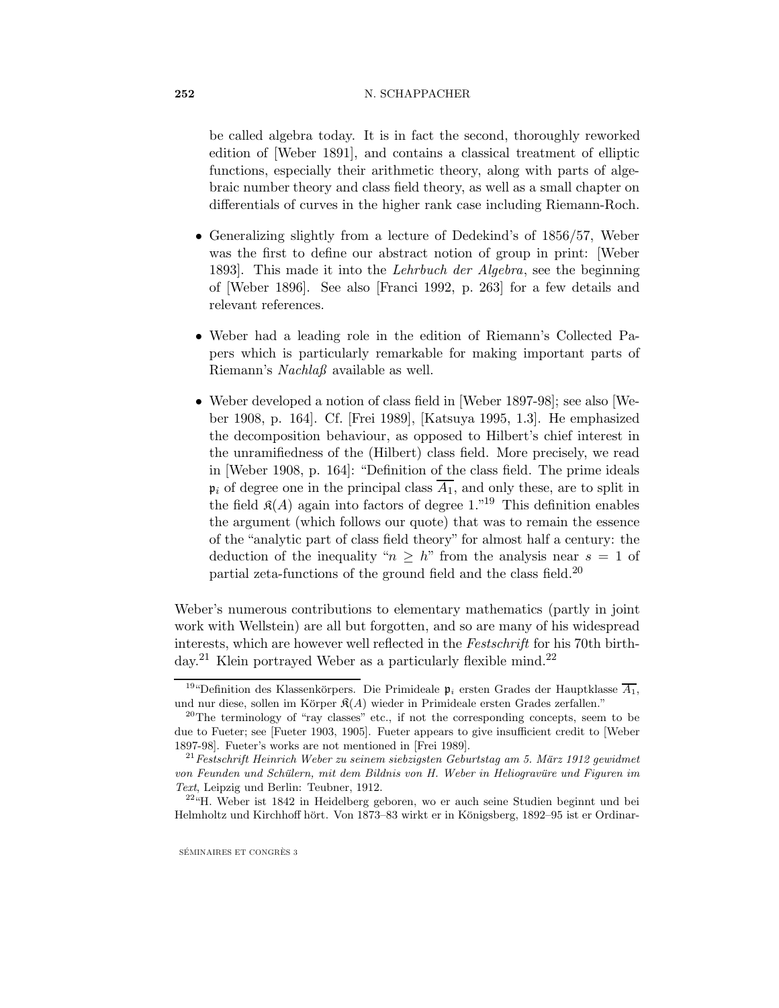#### **252** N.SCHAPPACHER

be called algebra today. It is in fact the second, thoroughly reworked edition of [Weber 1891], and contains a classical treatment of elliptic functions, especially their arithmetic theory, along with parts of algebraic number theory and class field theory, as well as a small chapter on differentials of curves in the higher rankcase including Riemann-Roch.

- Generalizing slightly from a lecture of Dedekind's of 1856/57, Weber was the first to define our abstract notion of group in print: [Weber 1893]. This made it into the Lehrbuch der Algebra, see the beginning of [Weber 1896]. See also [Franci 1992, p. 263] for a few details and relevant references.
- Weber had a leading role in the edition of Riemann's Collected Papers which is particularly remarkable for making important parts of Riemann's Nachlaß available as well.
- Weber developed a notion of class field in [Weber 1897-98]; see also [Weber 1908, p. 164]. Cf. [Frei 1989], [Katsuya 1995, 1.3]. He emphasized the decomposition behaviour, as opposed to Hilbert's chief interest in the unramifiedness of the (Hilbert) class field. More precisely, we read in [Weber 1908, p. 164]: "Definition of the class field. The prime ideals  $\mathfrak{p}_i$  of degree one in the principal class  $\overline{A_1}$ , and only these, are to split in the field  $\mathfrak{K}(A)$  again into factors of degree 1."<sup>19</sup> This definition enables the argument (which follows our quote) that was to remain the essence of the "analytic part of class field theory" for almost half a century: the deduction of the inequality " $n \geq h$ " from the analysis near  $s = 1$  of partial zeta-functions of the ground field and the class field.<sup>20</sup>

Weber's numerous contributions to elementary mathematics (partly in joint work with Wellstein) are all but forgotten, and so are many of his widespread interests, which are however well reflected in the Festschrift for his 70th birthday.<sup>21</sup> Klein portrayed Weber as a particularly flexible mind.<sup>22</sup>

<sup>&</sup>lt;sup>19</sup>"Definition des Klassenkörpers. Die Primideale  $\mathfrak{p}_i$  ersten Grades der Hauptklasse  $\overline{A_1}$ , und nur diese, sollen im Körper  $\mathfrak{K}(A)$  wieder in Primideale ersten Grades zerfallen."<br><sup>20</sup>The terminology of "ray classes" etc., if not the corresponding concepts, seem to be

due to Fueter; see [Fueter 1903, 1905]. Fueter appears to give insufficient credit to [Weber 1897-98].Fueter's works are not mentioned in [Frei 1989].

 $^{21}$ Festschrift Heinrich Weber zu seinem siebzigsten Geburtstag am 5. März 1912 gewidmet von Feunden und Schülern, mit dem Bildnis von H. Weber in Heliogravüre und Figuren im Text, Leipzig und Berlin: Teubner, 1912.

<sup>&</sup>lt;sup>22</sup>"H. Weber ist 1842 in Heidelberg geboren, wo er auch seine Studien beginnt und bei Helmholtz und Kirchhoff hört. Von 1873–83 wirkt er in Königsberg, 1892–95 ist er Ordinar-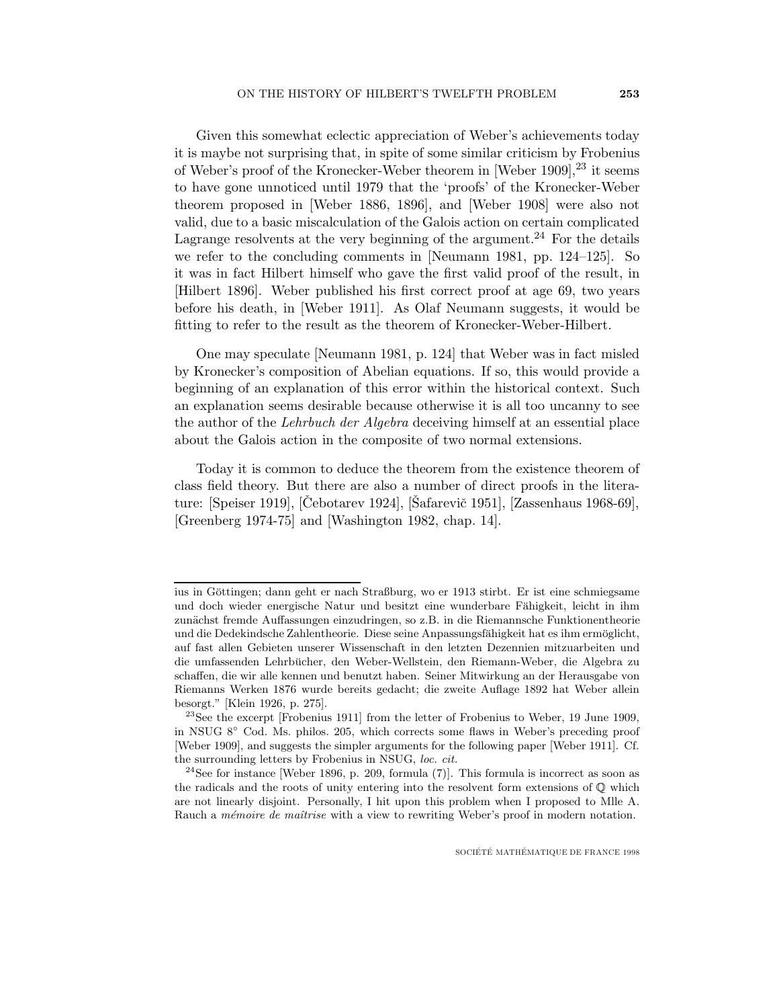Given this somewhat eclectic appreciation of Weber's achievements today it is maybe not surprising that, in spite of some similar criticism by Frobenius of Weber's proof of the Kronecker-Weber theorem in [Weber 1909],<sup>23</sup> it seems to have gone unnoticed until 1979 that the 'proofs' of the Kronecker-Weber theorem proposed in [Weber 1886, 1896], and [Weber 1908] were also not valid, due to a basic miscalculation of the Galois action on certain complicated Lagrange resolvents at the very beginning of the argument.<sup>24</sup> For the details we refer to the concluding comments in [Neumann 1981, pp. 124–125]. So it was in fact Hilbert himself who gave the first valid proof of the result, in [Hilbert 1896]. Weber published his first correct proof at age 69, two years before his death, in [Weber 1911]. As Olaf Neumann suggests, it would be fitting to refer to the result as the theorem of Kronecker-Weber-Hilbert.

One may speculate [Neumann 1981, p. 124] that Weber was in fact misled by Kronecker's composition of Abelian equations. If so, this would provide a beginning of an explanation of this error within the historical context. Such an explanation seems desirable because otherwise it is all too uncanny to see the author of the Lehrbuch der Algebra deceiving himself at an essential place about the Galois action in the composite of two normal extensions.

Today it is common to deduce the theorem from the existence theorem of class field theory. But there are also a number of direct proofs in the literature: [Speiser 1919], [Čebotarev 1924], [Šafarevič 1951], [Zassenhaus 1968-69], [Greenberg 1974-75] and [Washington 1982, chap. 14].

ius in Göttingen; dann geht er nach Straßburg, wo er 1913 stirbt. Er ist eine schmiegsame und doch wieder energische Natur und besitzt eine wunderbare Fähigkeit, leicht in ihm zunächst fremde Auffassungen einzudringen, so z.B. in die Riemannsche Funktionentheorie und die Dedekindsche Zahlentheorie. Diese seine Anpassungsfähigkeit hat es ihm ermöglicht, auf fast allen Gebieten unserer Wissenschaft in den letzten Dezennien mitzuarbeiten und die umfassenden Lehrbucher, den Weber-Wellstein, den Riemann-Weber, die Algebra zu ¨ schaffen, die wir alle kennen und benutzt haben. Seiner Mitwirkung an der Herausgabe von Riemanns Werken 1876 wurde bereits gedacht; die zweite Auflage 1892 hat Weber allein besorgt." [Klein 1926, p. 275].

<sup>&</sup>lt;sup>23</sup>See the excerpt [Frobenius 1911] from the letter of Frobenius to Weber, 19 June 1909, in NSUG  $8^\circ$  Cod. Ms. philos. 205, which corrects some flaws in Weber's preceding proof [Weber 1909], and suggests the simpler arguments for the following paper [Weber 1911]. Cf. the surrounding letters by Frobenius in NSUG, loc. cit.

<sup>&</sup>lt;sup>24</sup>See for instance [Weber 1896, p. 209, formula  $(7)$ ]. This formula is incorrect as soon as the radicals and the roots of unity entering into the resolvent form extensions of <sup>Q</sup> which are not linearly disjoint. Personally, I hit upon this problem when I proposed to Mlle A. Rauch a *mémoire de maîtrise* with a view to rewriting Weber's proof in modern notation.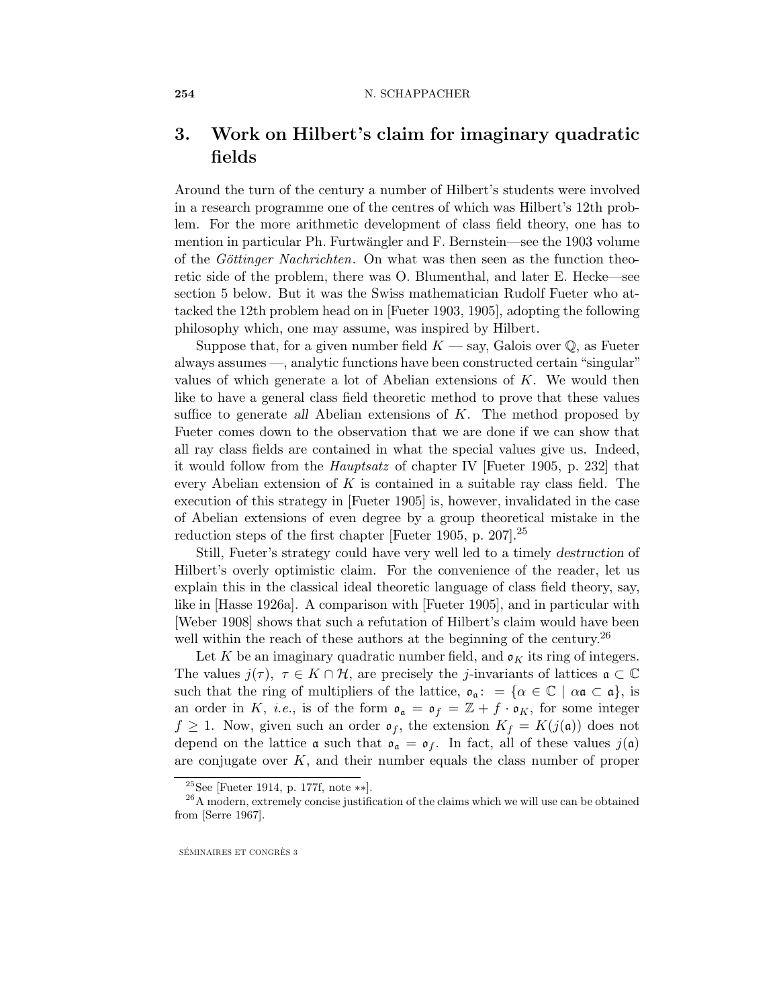#### **254** N.SCHAPPACHER

# **3. Work on Hilbert's claim for imaginary quadratic fields**

Around the turn of the century a number of Hilbert's students were involved in a research programme one of the centres of which was Hilbert's 12th problem. For the more arithmetic development of class field theory, one has to mention in particular Ph. Furtwängler and F. Bernstein—see the 1903 volume of the *Göttinger Nachrichten*. On what was then seen as the function theoretic side of the problem, there was O. Blumenthal, and later E. Hecke—see section 5 below. But it was the Swiss mathematician Rudolf Fueter who attacked the 12th problem head on in [Fueter 1903, 1905], adopting the following philosophy which, one may assume, was inspired by Hilbert.

Suppose that, for a given number field  $K$  — say, Galois over  $\mathbb{Q}$ , as Fueter always assumes —, analytic functions have been constructed certain "singular" values of which generate a lot of Abelian extensions of  $K$ . We would then like to have a general class field theoretic method to prove that these values suffice to generate *all* Abelian extensions of K. The method proposed by Fueter comes down to the observation that we are done if we can show that all ray class fields are contained in what the special values give us. Indeed, it would follow from the Hauptsatz of chapter IV [Fueter 1905, p. 232] that every Abelian extension of  $K$  is contained in a suitable ray class field. The execution of this strategy in [Fueter 1905] is, however, invalidated in the case of Abelian extensions of even degree by a group theoretical mistake in the reduction steps of the first chapter [Fueter 1905, p. 207].<sup>25</sup>

Still, Fueter's strategy could have very well led to a timely *destruction* of Hilbert's overly optimistic claim. For the convenience of the reader, let us explain this in the classical ideal theoretic language of class field theory, say, like in [Hasse 1926a]. A comparison with [Fueter 1905], and in particular with [Weber 1908] shows that such a refutation of Hilbert's claim would have been well within the reach of these authors at the beginning of the century.<sup>26</sup>

Let K be an imaginary quadratic number field, and  $\mathfrak{o}_K$  its ring of integers. The values  $j(\tau)$ ,  $\tau \in K \cap \mathcal{H}$ , are precisely the j-invariants of lattices  $\mathfrak{a} \subset \mathbb{C}$ such that the ring of multipliers of the lattice,  $\mathfrak{o}_{\mathfrak{a}}$ : =  $\{\alpha \in \mathbb{C} \mid \alpha \mathfrak{a} \subset \mathfrak{a}\}\)$ , is an order in K, *i.e.*, is of the form  $\mathfrak{o}_{\mathfrak{a}} = \mathfrak{o}_f = \mathbb{Z} + f \cdot \mathfrak{o}_K$ , for some integer  $f \geq 1$ . Now, given such an order  $\mathfrak{o}_f$ , the extension  $K_f = K(j(\mathfrak{a}))$  does not depend on the lattice  $\mathfrak a$  such that  $\mathfrak o_{\mathfrak a} = \mathfrak o_f$ . In fact, all of these values  $j(\mathfrak a)$ are conjugate over  $K$ , and their number equals the class number of proper

<sup>&</sup>lt;sup>25</sup>See [Fueter 1914, p. 177f, note ∗∗]. <sup>26</sup>A modern, extremely concise justification of the claims which we will use can be obtained from [Serre 1967].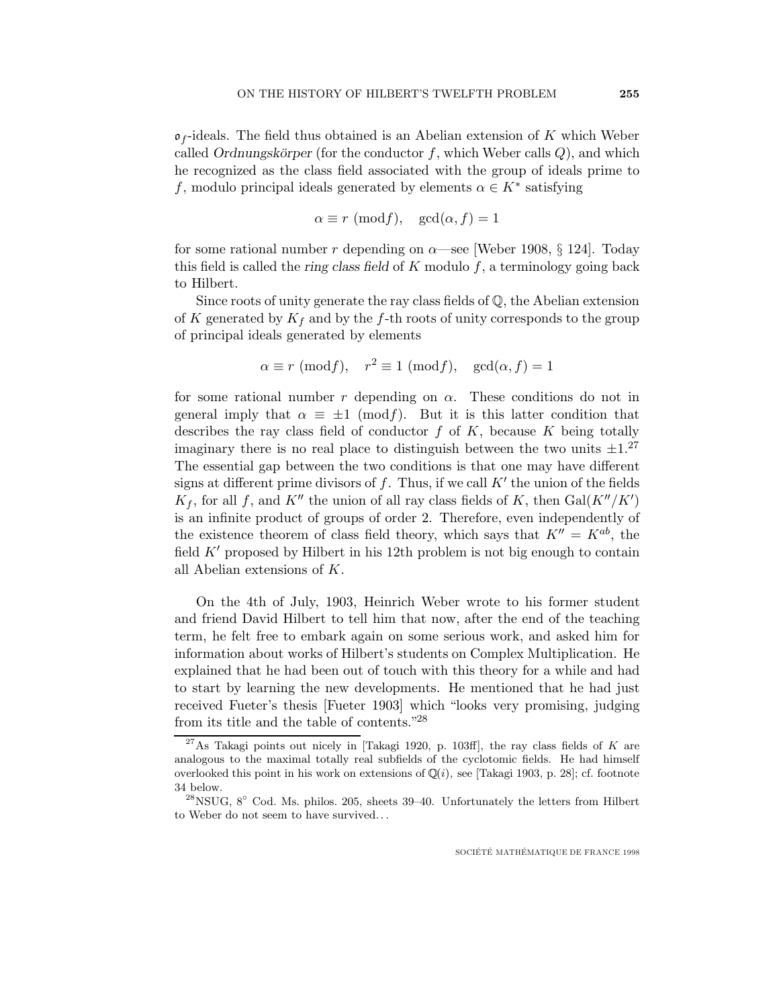$\mathfrak{o}_f$ -ideals. The field thus obtained is an Abelian extension of K which Weber called *Ordnungskörper* (for the conductor  $f$ , which Weber calls  $Q$ ), and which he recognized as the class field associated with the group of ideals prime to f, modulo principal ideals generated by elements  $\alpha \in K^*$  satisfying

$$
\alpha \equiv r \pmod{f}, \quad \gcd(\alpha, f) = 1
$$

for some rational number r depending on  $\alpha$  see [Weber 1908, § 124]. Today this field is called the *ring class field* of K modulo f, a terminology going back to Hilbert.

Since roots of unity generate the ray class fields of Q, the Abelian extension of K generated by  $K_f$  and by the f-th roots of unity corresponds to the group of principal ideals generated by elements

$$
\alpha \equiv r \pmod{f}, \quad r^2 \equiv 1 \pmod{f}, \quad \gcd(\alpha, f) = 1
$$

for some rational number r depending on  $\alpha$ . These conditions do not in general imply that  $\alpha \equiv \pm 1 \pmod{f}$ . But it is this latter condition that describes the ray class field of conductor  $f$  of  $K$ , because  $K$  being totally imaginary there is no real place to distinguish between the two units  $\pm 1$ .<sup>27</sup> The essential gap between the two conditions is that one may have different signs at different prime divisors of f. Thus, if we call  $K'$  the union of the fields  $K_f$ , for all f, and K'' the union of all ray class fields of K, then  $Gal(K''/K')$ is an infinite product of groups of order 2. Therefore, even independently of the existence theorem of class field theory, which says that  $K'' = K^{ab}$ , the field  $K'$  proposed by Hilbert in his 12th problem is not big enough to contain all Abelian extensions of K.

On the 4th of July, 1903, Heinrich Weber wrote to his former student and friend David Hilbert to tell him that now, after the end of the teaching term, he felt free to embarkagain on some serious work, and asked him for information about works of Hilbert's students on Complex Multiplication. He explained that he had been out of touch with this theory for a while and had to start by learning the new developments. He mentioned that he had just received Fueter's thesis [Fueter 1903] which "looks very promising, judging from its title and the table of contents."<sup>28</sup>

 $27$ As Takagi points out nicely in [Takagi 1920, p. 103ff], the ray class fields of K are analogous to the maximal totally real subfields of the cyclotomic fields. He had himself overlooked this point in his work on extensions of  $\mathbb{Q}(i)$ , see [Takagi 1903, p. 28]; cf. footnote 34 below.

 $^{28}$ NSUG,  $8^{\circ}$  Cod. Ms. philos. 205, sheets 39–40. Unfortunately the letters from Hilbert to Weber do not seem to have survived...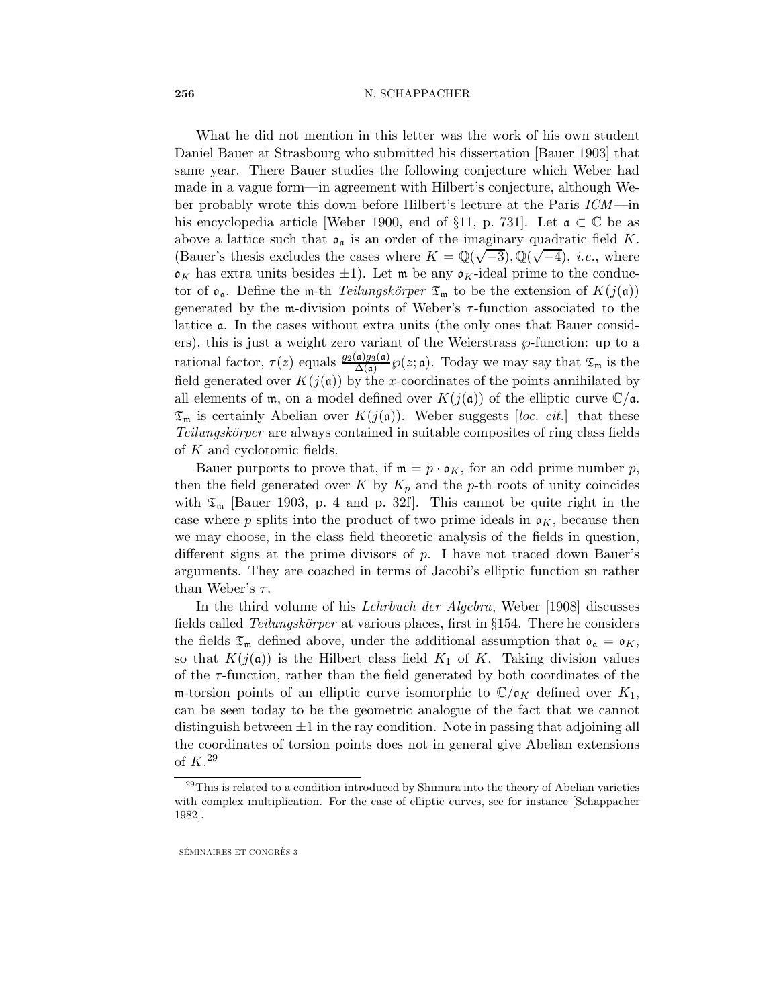**256** N.SCHAPPACHER

What he did not mention in this letter was the work of his own student Daniel Bauer at Strasbourg who submitted his dissertation [Bauer 1903] that same year. There Bauer studies the following conjecture which Weber had made in a vague form—in agreement with Hilbert's conjecture, although Weber probably wrote this down before Hilbert's lecture at the Paris ICM —in his encyclopedia article [Weber 1900, end of §11, p. 731]. Let  $\mathfrak{a} \subset \mathbb{C}$  be as above a lattice such that  $\mathfrak{o}_{\mathfrak{a}}$  is an order of the imaginary quadratic field K. above a lattice such that  $\mathfrak{v}_\mathfrak{a}$  is an order of the imaginary quadratic field  $\Lambda$ .<br>(Bauer's thesis excludes the cases where  $K = \mathbb{Q}(\sqrt{-3}), \mathbb{Q}(\sqrt{-4}), i.e.,$  where  $\mathfrak{o}_K$  has extra units besides  $\pm 1$ ). Let m be any  $\mathfrak{o}_K$ -ideal prime to the conductor of  $\mathfrak{o}_{\mathfrak{a}}$ . Define the m-th *Teilungskörper*  $\mathfrak{T}_{\mathfrak{m}}$  to be the extension of  $K(j(\mathfrak{a}))$ generated by the m-division points of Weber's  $\tau$ -function associated to the lattice a. In the cases without extra units (the only ones that Bauer considers), this is just a weight zero variant of the Weierstrass  $\wp$ -function: up to a rational factor,  $\tau(z)$  equals  $\frac{g_2(a)g_3(a)}{\Delta(a)}\wp(z; a)$ . Today we may say that  $\mathfrak{T}_m$  is the field generated over  $K(j(\mathfrak{a}))$  by the x-coordinates of the points annihilated by all elements of m, on a model defined over  $K(j(\mathfrak{a}))$  of the elliptic curve  $\mathbb{C}/\mathfrak{a}$ .  $\mathfrak{T}_{\mathfrak{m}}$  is certainly Abelian over  $K(j(\mathfrak{a}))$ . Weber suggests [loc. cit.] that these Teilungskörper are always contained in suitable composites of ring class fields of K and cyclotomic fields.

Bauer purports to prove that, if  $\mathfrak{m} = p \cdot \mathfrak{o}_K$ , for an odd prime number p, then the field generated over K by  $K_p$  and the p-th roots of unity coincides with  $\mathfrak{T}_{\mathfrak{m}}$  [Bauer 1903, p. 4 and p. 32f]. This cannot be quite right in the case where p splits into the product of two prime ideals in  $\mathfrak{o}_K$ , because then we may choose, in the class field theoretic analysis of the fields in question, different signs at the prime divisors of p. I have not traced down Bauer's arguments. They are coached in terms of Jacobi's elliptic function sn rather than Weber's  $\tau$ .

In the third volume of his Lehrbuch der Algebra, Weber [1908] discusses fields called *Teilungskörper* at various places, first in  $\S 154$ . There he considers the fields  $\mathfrak{T}_{\mathfrak{m}}$  defined above, under the additional assumption that  $\mathfrak{o}_{\mathfrak{a}} = \mathfrak{o}_K$ , so that  $K(j(\mathfrak{a}))$  is the Hilbert class field  $K_1$  of K. Taking division values of the  $\tau$ -function, rather than the field generated by both coordinates of the m-torsion points of an elliptic curve isomorphic to  $\mathbb{C}/\mathfrak{o}_K$  defined over  $K_1$ , can be seen today to be the geometric analogue of the fact that we cannot distinguish between  $\pm 1$  in the ray condition. Note in passing that adjoining all the coordinates of torsion points does not in general give Abelian extensions of  $K.29$ 

SÉMINAIRES ET CONGRÈS 3

 $29$ This is related to a condition introduced by Shimura into the theory of Abelian varieties with complex multiplication. For the case of elliptic curves, see for instance [Schappacher 1982].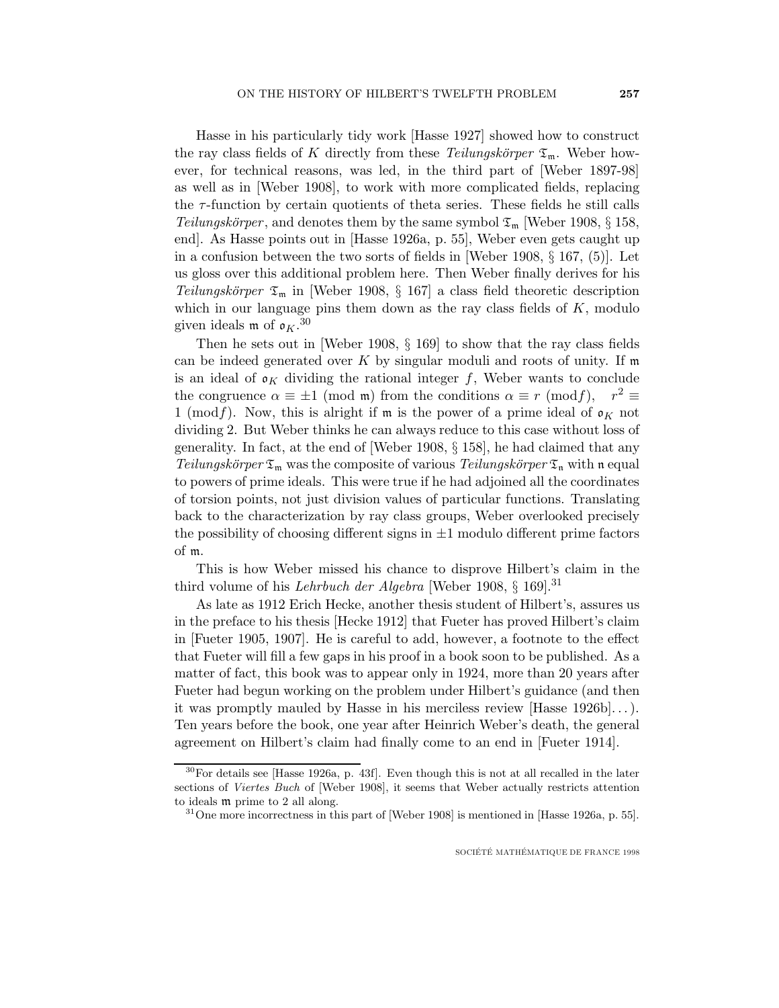Hasse in his particularly tidy work[Hasse 1927] showed how to construct the ray class fields of K directly from these Teilungskörper  $\mathfrak{T}_{\mathfrak{m}}$ . Weber however, for technical reasons, was led, in the third part of [Weber 1897-98] as well as in [Weber 1908], to workwith more complicated fields, replacing the  $\tau$ -function by certain quotients of theta series. These fields he still calls *Teilungskörper*, and denotes them by the same symbol  $\mathfrak{T}_{\mathfrak{m}}$  [Weber 1908, § 158, end]. As Hasse points out in [Hasse 1926a, p. 55], Weber even gets caught up in a confusion between the two sorts of fields in [Weber 1908,  $\S$  167, (5)]. Let us gloss over this additional problem here. Then Weber finally derives for his Teilungskörper  $\mathfrak{T}_{\mathfrak{m}}$  in [Weber 1908, § 167] a class field theoretic description which in our language pins them down as the ray class fields of  $K$ , modulo given ideals  $m$  of  $\mathfrak{o}_K$ .<sup>30</sup>

Then he sets out in [Weber 1908, § 169] to show that the ray class fields can be indeed generated over  $K$  by singular moduli and roots of unity. If  $m$ is an ideal of  $\mathfrak{o}_K$  dividing the rational integer f, Weber wants to conclude the congruence  $\alpha \equiv \pm 1 \pmod{m}$  from the conditions  $\alpha \equiv r \pmod{f}$ ,  $r^2 \equiv$ 1 (modf). Now, this is alright if m is the power of a prime ideal of  $\mathfrak{o}_K$  not dividing 2. But Weber thinks he can always reduce to this case without loss of generality. In fact, at the end of [Weber 1908, § 158], he had claimed that any *Teilungskörper*  $\mathfrak{T}_{\mathfrak{m}}$  was the composite of various *Teilungskörper*  $\mathfrak{T}_{\mathfrak{n}}$  with n equal to powers of prime ideals. This were true if he had adjoined all the coordinates of torsion points, not just division values of particular functions. Translating back to the characterization by ray class groups, Weber overlooked precisely the possibility of choosing different signs in  $\pm 1$  modulo different prime factors of m.

This is how Weber missed his chance to disprove Hilbert's claim in the third volume of his Lehrbuch der Algebra [Weber 1908,  $\S 169$ ].<sup>31</sup>

As late as 1912 Erich Hecke, another thesis student of Hilbert's, assures us in the preface to his thesis [Hecke 1912] that Fueter has proved Hilbert's claim in [Fueter 1905, 1907]. He is careful to add, however, a footnote to the effect that Fueter will fill a few gaps in his proof in a booksoon to be published. As a matter of fact, this book was to appear only in 1924, more than 20 years after Fueter had begun working on the problem under Hilbert's guidance (and then it was promptly mauled by Hasse in his merciless review [Hasse 1926b]. . . ). Ten years before the book, one year after Heinrich Weber's death, the general agreement on Hilbert's claim had finally come to an end in [Fueter 1914].

 $30$  For details see [Hasse 1926a, p. 43f]. Even though this is not at all recalled in the later sections of Viertes Buch of [Weber 1908], it seems that Weber actually restricts attention to ideals m prime to 2 all along.

 $31$ One more incorrectness in this part of [Weber 1908] is mentioned in [Hasse 1926a, p. 55].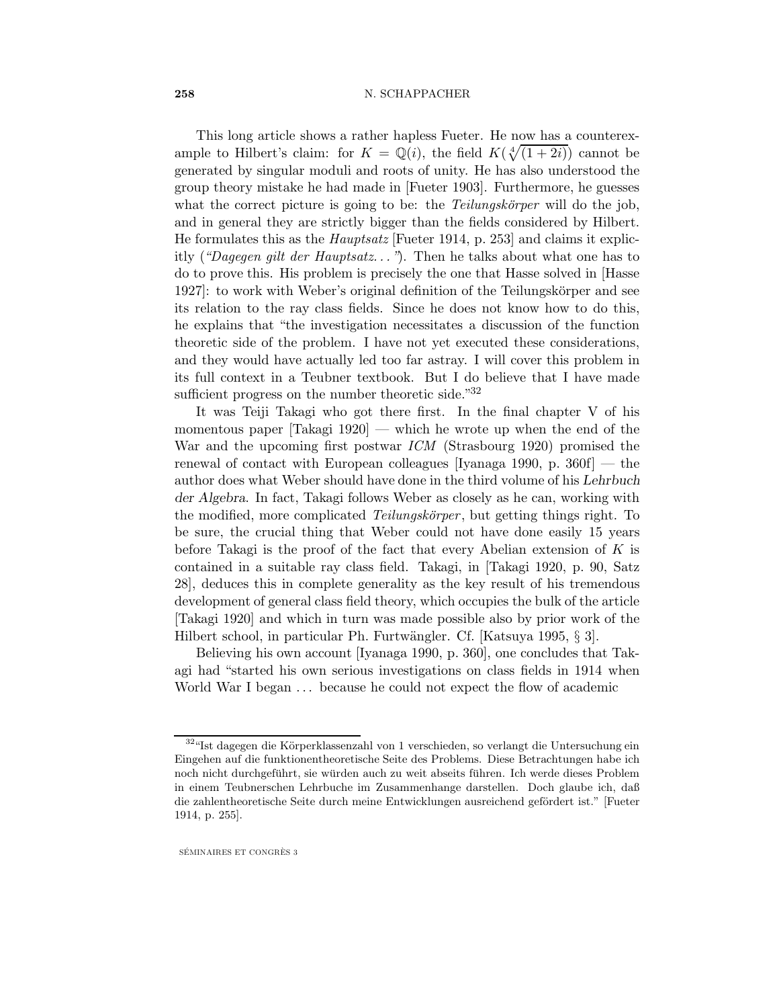This long article shows a rather hapless Fueter. He now has a counterexample to Hilbert's claim: for  $K = \mathbb{Q}(i)$ , the field  $K(\sqrt[4]{(1+2i)})$  cannot be generated by singular moduli and roots of unity. He has also understood the group theory mistake he had made in [Fueter 1903]. Furthermore, he guesses what the correct picture is going to be: the Teilungskörper will do the job, and in general they are strictly bigger than the fields considered by Hilbert. He formulates this as the Hauptsatz [Fueter 1914, p. 253] and claims it explicitly ("Dagegen gilt der Hauptsatz..."). Then he talks about what one has to do to prove this. His problem is precisely the one that Hasse solved in [Hasse 1927]: to work with Weber's original definition of the Teilungskörper and see its relation to the ray class fields. Since he does not know how to do this, he explains that "the investigation necessitates a discussion of the function theoretic side of the problem. I have not yet executed these considerations, and they would have actually led too far astray. I will cover this problem in its full context in a Teubner textbook. But I do believe that I have made sufficient progress on the number theoretic side."32

It was Teiji Takagi who got there first. In the final chapter V of his momentous paper  $\text{[Takagi 1920]}$  — which he wrote up when the end of the War and the upcoming first postwar ICM (Strasbourg 1920) promised the renewal of contact with European colleagues [Iyanaga 1990, p. 360f] — the author does what Weber should have done in the third volume of his *Lehrbuch der Algebra*. In fact, Takagi follows Weber as closely as he can, working with the modified, more complicated *Teilungskörper*, but getting things right. To be sure, the crucial thing that Weber could not have done easily 15 years before Takagi is the proof of the fact that every Abelian extension of  $K$  is contained in a suitable ray class field. Takagi, in [Takagi 1920, p. 90, Satz 28], deduces this in complete generality as the key result of his tremendous development of general class field theory, which occupies the bulk of the article [Takagi 1920] and which in turn was made possible also by prior work of the Hilbert school, in particular Ph. Furtwängler. Cf. [Katsuya 1995, § 3].

Believing his own account [Iyanaga 1990, p. 360], one concludes that Takagi had "started his own serious investigations on class fields in 1914 when World War I began  $\dots$  because he could not expect the flow of academic

 $^{32}$ Ist dagegen die Körperklassenzahl von 1 verschieden, so verlangt die Untersuchung ein Eingehen auf die funktionentheoretische Seite des Problems.Diese Betrachtungen habe ich noch nicht durchgeführt, sie würden auch zu weit abseits führen. Ich werde dieses Problem in einem Teubnerschen Lehrbuche im Zusammenhange darstellen.Doch glaube ich, daß die zahlentheoretische Seite durch meine Entwicklungen ausreichend gefördert ist." [Fueter 1914, p.255].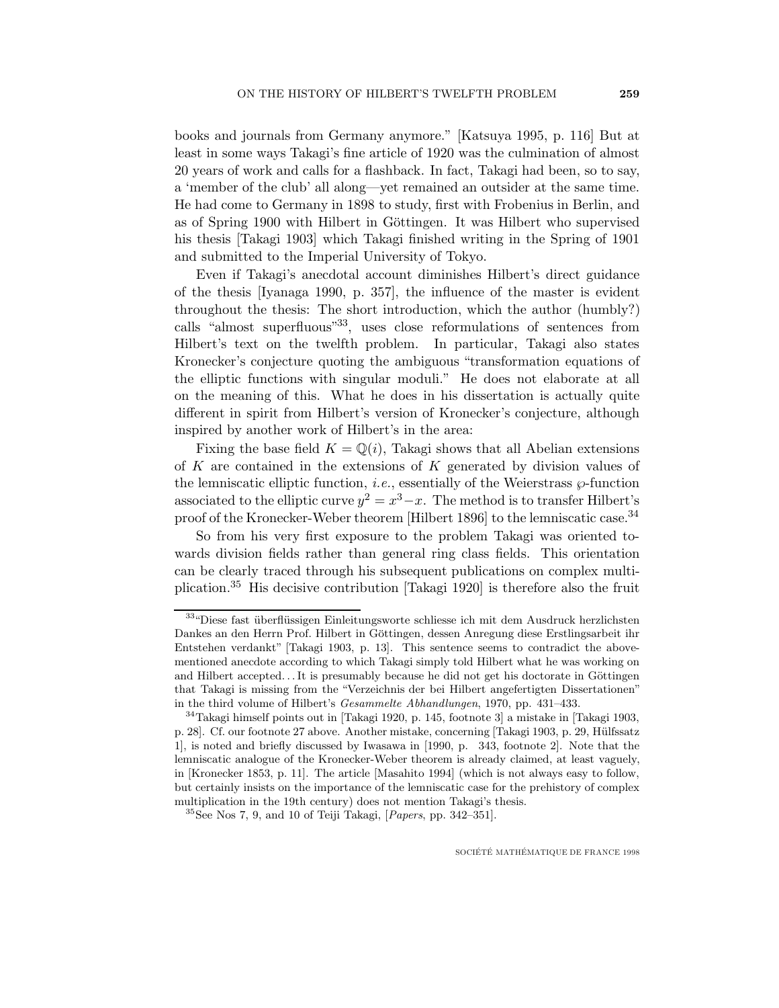books and journals from Germany anymore." [Katsuya 1995, p. 116] But at least in some ways Takagi's fine article of 1920 was the culmination of almost 20 years of workand calls for a flashback. In fact, Takagi had been, so to say, a 'member of the club' all along—yet remained an outsider at the same time. He had come to Germany in 1898 to study, first with Frobenius in Berlin, and as of Spring 1900 with Hilbert in Göttingen. It was Hilbert who supervised his thesis [Takagi 1903] which Takagi finished writing in the Spring of 1901 and submitted to the Imperial University of Tokyo.

Even if Takagi's anecdotal account diminishes Hilbert's direct guidance of the thesis [Iyanaga 1990, p. 357], the influence of the master is evident throughout the thesis: The short introduction, which the author (humbly?) calls "almost superfluous"33, uses close reformulations of sentences from Hilbert's text on the twelfth problem. In particular, Takagi also states Kronecker's conjecture quoting the ambiguous "transformation equations of the elliptic functions with singular moduli." He does not elaborate at all on the meaning of this. What he does in his dissertation is actually quite different in spirit from Hilbert's version of Kronecker's conjecture, although inspired by another work of Hilbert's in the area:

Fixing the base field  $K = \mathbb{Q}(i)$ , Takagi shows that all Abelian extensions of K are contained in the extensions of K generated by division values of the lemniscatic elliptic function, *i.e.*, essentially of the Weierstrass  $\wp$ -function associated to the elliptic curve  $y^2 = x^3 - x$ . The method is to transfer Hilbert's proof of the Kronecker-Weber theorem [Hilbert 1896] to the lemniscatic case.<sup>34</sup>

So from his very first exposure to the problem Takagi was oriented towards division fields rather than general ring class fields. This orientation can be clearly traced through his subsequent publications on complex multiplication.<sup>35</sup> His decisive contribution [Takagi 1920] is therefore also the fruit

 $33$ "Diese fast überflüssigen Einleitungsworte schliesse ich mit dem Ausdruck herzlichsten Dankes an den Herrn Prof. Hilbert in Göttingen, dessen Anregung diese Erstlingsarbeit ihr Entstehen verdankt" [Takagi 1903, p.13]. This sentence seems to contradict the abovementioned anecdote according to which Takagi simply told Hilbert what he was working on and Hilbert accepted...It is presumably because he did not get his doctorate in Göttingen that Takagi is missing from the "Verzeichnis der bei Hilbert angefertigten Dissertationen" in the third volume of Hilbert's Gesammelte Abhandlungen, 1970, pp.431–433.

 $34$ Takagi himself points out in [Takagi 1920, p. 145, footnote 3] a mistake in [Takagi 1903, p. 28]. Cf. our footnote 27 above. Another mistake, concerning [Takagi 1903, p. 29, Hülfssatz 1, is noted and briefly discussed by Iwasawa in [1990, p. 343, footnote 2]. Note that the lemniscatic analogue of the Kronecker-Weber theorem is already claimed, at least vaguely, in [Kronecker 1853, p.11]. The article [Masahito 1994] (which is not always easy to follow, but certainly insists on the importance of the lemniscatic case for the prehistory of complex multiplication in the 19th century) does not mention Takagi's thesis.

 $35$ See Nos 7, 9, and 10 of Teiji Takagi, [*Papers*, pp. 342–351].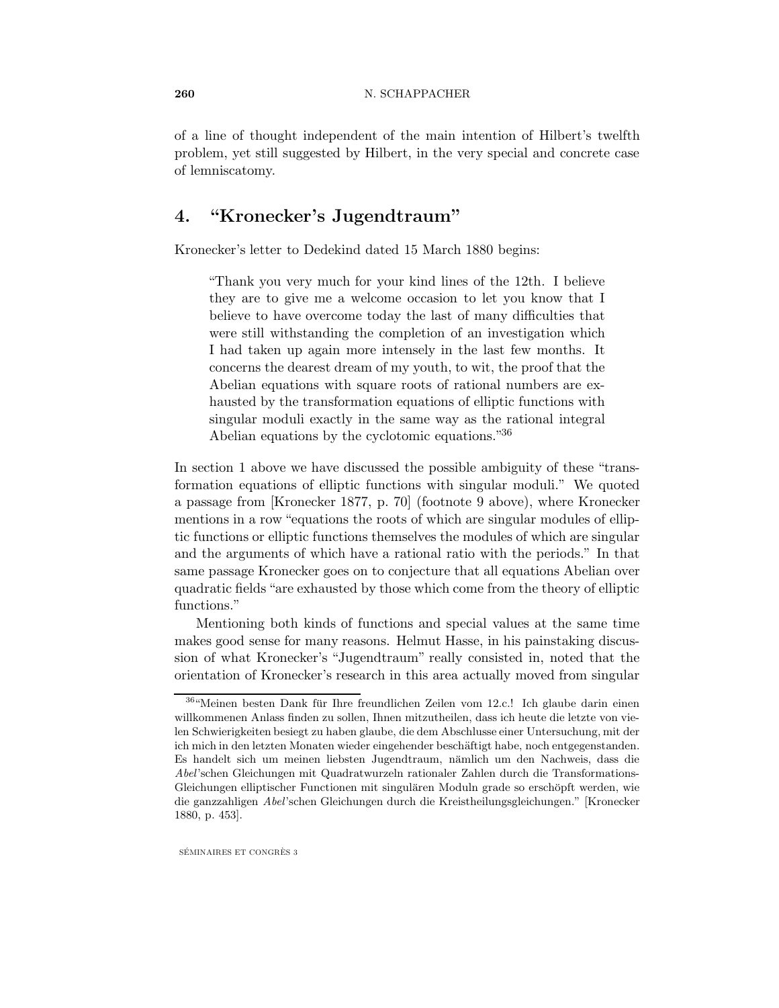of a line of thought independent of the main intention of Hilbert's twelfth problem, yet still suggested by Hilbert, in the very special and concrete case of lemniscatomy.

### **4. "Kronecker's Jugendtraum"**

Kronecker's letter to Dedekind dated 15 March 1880 begins:

"Thankyou very much for your kind lines of the 12th. I believe they are to give me a welcome occasion to let you know that I believe to have overcome today the last of many difficulties that were still withstanding the completion of an investigation which I had taken up again more intensely in the last few months. It concerns the dearest dream of my youth, to wit, the proof that the Abelian equations with square roots of rational numbers are exhausted by the transformation equations of elliptic functions with singular moduli exactly in the same way as the rational integral Abelian equations by the cyclotomic equations."<sup>36</sup>

In section 1 above we have discussed the possible ambiguity of these "transformation equations of elliptic functions with singular moduli." We quoted a passage from [Kronecker 1877, p. 70] (footnote 9 above), where Kronecker mentions in a row "equations the roots of which are singular modules of elliptic functions or elliptic functions themselves the modules of which are singular and the arguments of which have a rational ratio with the periods." In that same passage Kronecker goes on to conjecture that all equations Abelian over quadratic fields "are exhausted by those which come from the theory of elliptic functions."

Mentioning both kinds of functions and special values at the same time makes good sense for many reasons. Helmut Hasse, in his painstaking discussion of what Kronecker's "Jugendtraum" really consisted in, noted that the orientation of Kronecker's research in this area actually moved from singular

 $36$ "Meinen besten Dank für Ihre freundlichen Zeilen vom 12.c.! Ich glaube darin einen willkommenen Anlass finden zu sollen, Ihnen mitzutheilen, dass ich heute die letzte von vielen Schwierigkeiten besiegt zu haben glaube, die dem Abschlusse einer Untersuchung, mit der ich mich in den letzten Monaten wieder eingehender beschäftigt habe, noch entgegenstanden. Es handelt sich um meinen liebsten Jugendtraum, nämlich um den Nachweis, dass die Abel'schen Gleichungen mit Quadratwurzeln rationaler Zahlen durch die Transformations-Gleichungen elliptischer Functionen mit singulären Moduln grade so erschöpft werden, wie die ganzzahligen Abel'schen Gleichungen durch die Kreistheilungsgleichungen." [Kronecker 1880, p.453].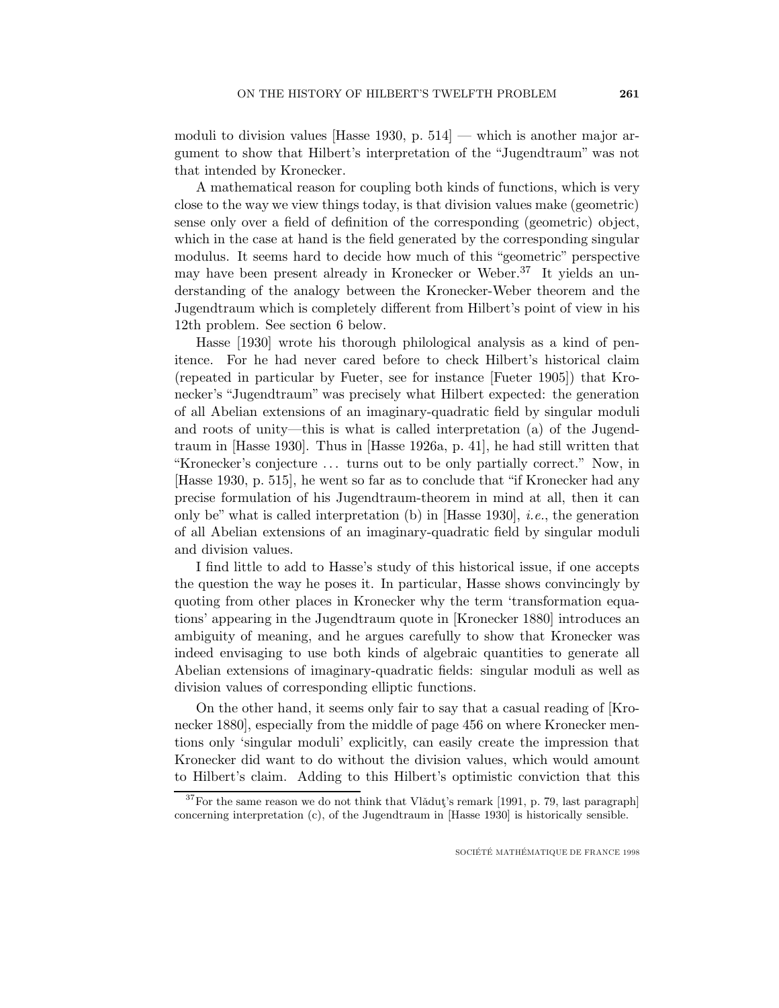moduli to division values [Hasse 1930, p. 514] — which is another major argument to show that Hilbert's interpretation of the "Jugendtraum" was not that intended by Kronecker.

A mathematical reason for coupling both kinds of functions, which is very close to the way we view things today, is that division values make (geometric) sense only over a field of definition of the corresponding (geometric) object, which in the case at hand is the field generated by the corresponding singular modulus. It seems hard to decide how much of this "geometric" perspective may have been present already in Kronecker or Weber.<sup>37</sup> It yields an understanding of the analogy between the Kronecker-Weber theorem and the Jugendtraum which is completely different from Hilbert's point of view in his 12th problem. See section 6 below.

Hasse [1930] wrote his thorough philological analysis as a kind of penitence. For he had never cared before to check Hilbert's historical claim (repeated in particular by Fueter, see for instance [Fueter 1905]) that Kronecker's "Jugendtraum" was precisely what Hilbert expected: the generation of all Abelian extensions of an imaginary-quadratic field by singular moduli and roots of unity—this is what is called interpretation (a) of the Jugendtraum in [Hasse 1930]. Thus in [Hasse 1926a, p. 41], he had still written that "Kronecker's conjecture . . . turns out to be only partially correct." Now, in [Hasse 1930, p. 515], he went so far as to conclude that "if Kronecker had any precise formulation of his Jugendtraum-theorem in mind at all, then it can only be" what is called interpretation (b) in [Hasse 1930], *i.e.*, the generation of all Abelian extensions of an imaginary-quadratic field by singular moduli and division values.

I find little to add to Hasse's study of this historical issue, if one accepts the question the way he poses it. In particular, Hasse shows convincingly by quoting from other places in Kronecker why the term 'transformation equations' appearing in the Jugendtraum quote in [Kronecker 1880] introduces an ambiguity of meaning, and he argues carefully to show that Kronecker was indeed envisaging to use both kinds of algebraic quantities to generate all Abelian extensions of imaginary-quadratic fields: singular moduli as well as division values of corresponding elliptic functions.

On the other hand, it seems only fair to say that a casual reading of [Kronecker 1880], especially from the middle of page 456 on where Kronecker mentions only 'singular moduli' explicitly, can easily create the impression that Kronecker did want to do without the division values, which would amount to Hilbert's claim. Adding to this Hilbert's optimistic conviction that this

 $37$  For the same reason we do not think that Vlǎdut's remark [1991, p. 79, last paragraph] concerning interpretation (c), of the Jugendtraum in [Hasse 1930] is historically sensible.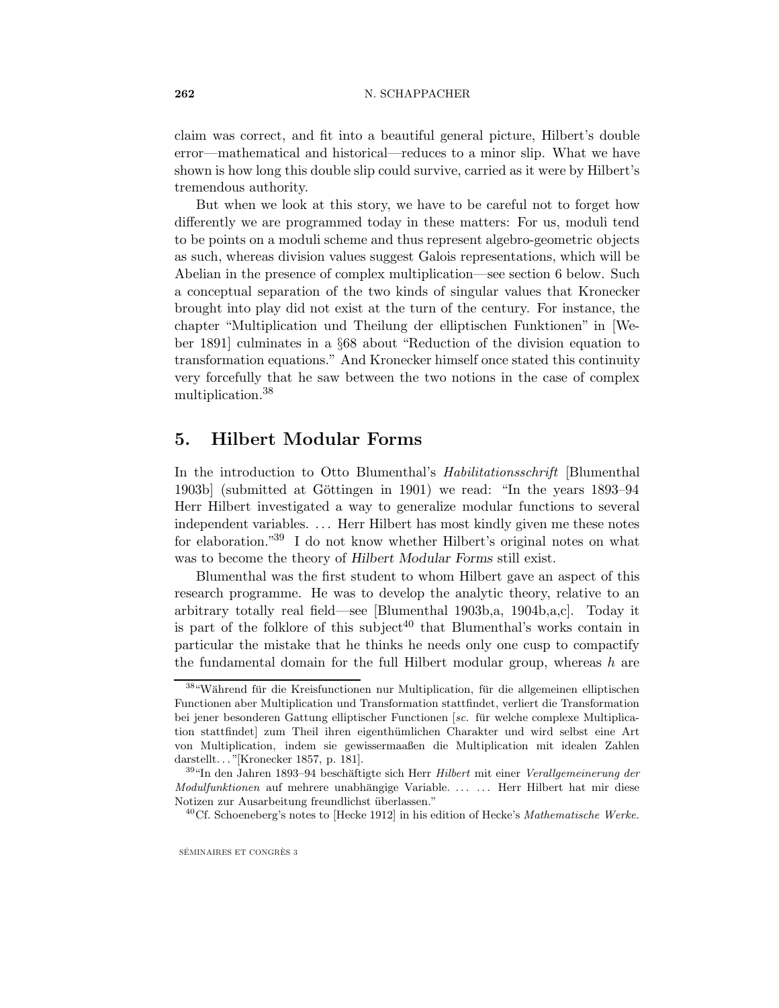claim was correct, and fit into a beautiful general picture, Hilbert's double error—mathematical and historical—reduces to a minor slip. What we have shown is how long this double slip could survive, carried as it were by Hilbert's tremendous authority.

But when we lookat this story, we have to be careful not to forget how differently we are programmed today in these matters: For us, moduli tend to be points on a moduli scheme and thus represent algebro-geometric objects as such, whereas division values suggest Galois representations, which will be Abelian in the presence of complex multiplication—see section 6 below. Such a conceptual separation of the two kinds of singular values that Kronecker brought into play did not exist at the turn of the century. For instance, the chapter "Multiplication und Theilung der elliptischen Funktionen" in [Weber 1891] culminates in a §68 about "Reduction of the division equation to transformation equations." And Kronecker himself once stated this continuity very forcefully that he saw between the two notions in the case of complex multiplication.<sup>38</sup>

# **5. Hilbert Modular Forms**

In the introduction to Otto Blumenthal's Habilitationsschrift [Blumenthal 1903b] (submitted at Göttingen in 1901) we read: "In the years  $1893-94$ Herr Hilbert investigated a way to generalize modular functions to several independent variables. . . . Herr Hilbert has most kindly given me these notes for elaboration."<sup>39</sup> I do not know whether Hilbert's original notes on what was to become the theory of *Hilbert Modular Forms* still exist.

Blumenthal was the first student to whom Hilbert gave an aspect of this research programme. He was to develop the analytic theory, relative to an arbitrary totally real field—see [Blumenthal 1903b,a, 1904b,a,c]. Today it is part of the folklore of this subject<sup>40</sup> that Blumenthal's works contain in particular the mistake that he thinks he needs only one cusp to compactify the fundamental domain for the full Hilbert modular group, whereas  $h$  are

 $38$ "Während für die Kreisfunctionen nur Multiplication, für die allgemeinen elliptischen Functionen aber Multiplication und Transformation stattfindet, verliert die Transformation bei jener besonderen Gattung elliptischer Functionen [sc. für welche complexe Multiplication stattfindet] zum Theil ihren eigenthumlichen Charakter und wird selbst eine Art ¨ von Multiplication, indem sie gewissermaaßen die Multiplication mit idealen Zahlen darstellt..."[Kronecker 1857, p. 181].

 $39$ "In den Jahren 1893–94 beschäftigte sich Herr Hilbert mit einer Verallgemeinerung der Modulfunktionen auf mehrere unabhängige Variable. ... ... Herr Hilbert hat mir diese Notizen zur Ausarbeitung freundlichst uberlassen." ¨

 $^{40}$ Cf. Schoeneberg's notes to [Hecke 1912] in his edition of Hecke's *Mathematische Werke*.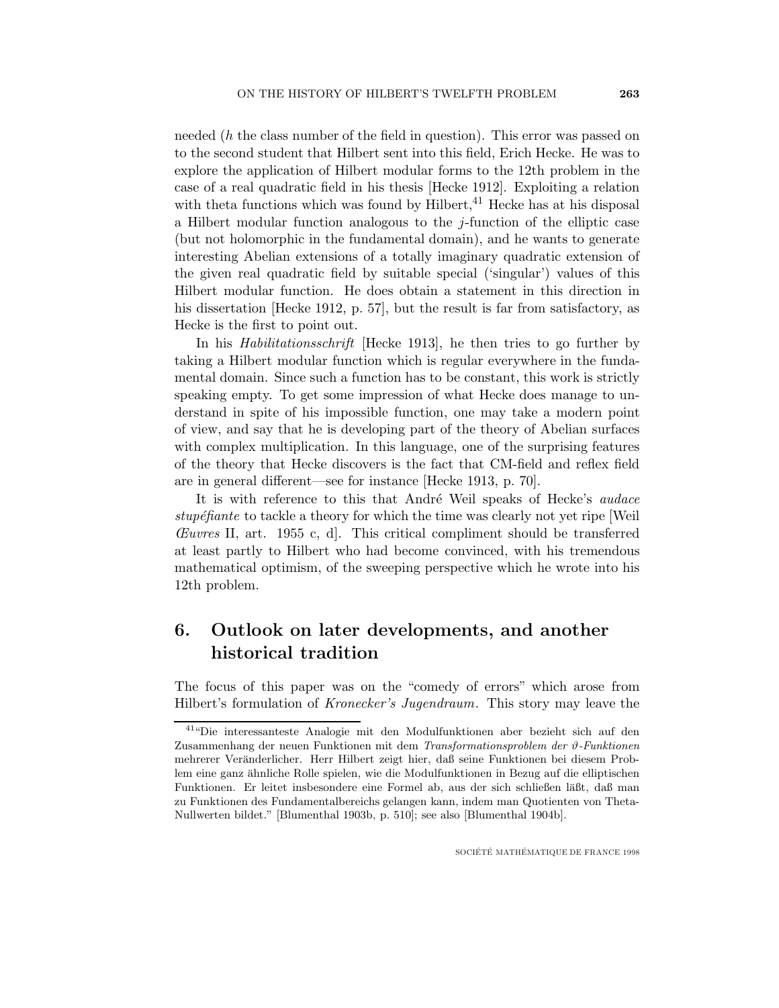needed (h the class number of the field in question). This error was passed on to the second student that Hilbert sent into this field, Erich Hecke. He was to explore the application of Hilbert modular forms to the 12th problem in the case of a real quadratic field in his thesis [Hecke 1912]. Exploiting a relation with theta functions which was found by  $Hilbert$ ,<sup>41</sup> Hecke has at his disposal a Hilbert modular function analogous to the  $i$ -function of the elliptic case (but not holomorphic in the fundamental domain), and he wants to generate interesting Abelian extensions of a totally imaginary quadratic extension of the given real quadratic field by suitable special ('singular') values of this Hilbert modular function. He does obtain a statement in this direction in his dissertation [Hecke 1912, p. 57], but the result is far from satisfactory, as Hecke is the first to point out.

In his Habilitationsschrift [Hecke 1913], he then tries to go further by taking a Hilbert modular function which is regular everywhere in the fundamental domain. Since such a function has to be constant, this work is strictly speaking empty. To get some impression of what Hecke does manage to understand in spite of his impossible function, one may take a modern point of view, and say that he is developing part of the theory of Abelian surfaces with complex multiplication. In this language, one of the surprising features of the theory that Hecke discovers is the fact that CM-field and reflex field are in general different—see for instance [Hecke 1913, p. 70].

It is with reference to this that André Weil speaks of Hecke's *audace* stupéfiante to tackle a theory for which the time was clearly not yet ripe [Weil Œuvres II, art. 1955 c, d]. This critical compliment should be transferred at least partly to Hilbert who had become convinced, with his tremendous mathematical optimism, of the sweeping perspective which he wrote into his 12th problem.

# **6. Outlook on later developments, and another historical tradition**

The focus of this paper was on the "comedy of errors" which arose from Hilbert's formulation of Kronecker's Jugendraum. This story may leave the

<sup>41</sup>"Die interessanteste Analogie mit den Modulfunktionen aber bezieht sich auf den Zusammenhang der neuen Funktionen mit dem Transformationsproblem der  $\vartheta$ -Funktionen mehrerer Veränderlicher. Herr Hilbert zeigt hier, daß seine Funktionen bei diesem Problem eine ganz ähnliche Rolle spielen, wie die Modulfunktionen in Bezug auf die elliptischen Funktionen. Er leitet insbesondere eine Formel ab, aus der sich schließen läßt, daß man zu Funktionen des Fundamentalbereichs gelangen kann, indem man Quotienten von Theta-Nullwerten bildet." [Blumenthal 1903b, p. 510]; see also [Blumenthal 1904b].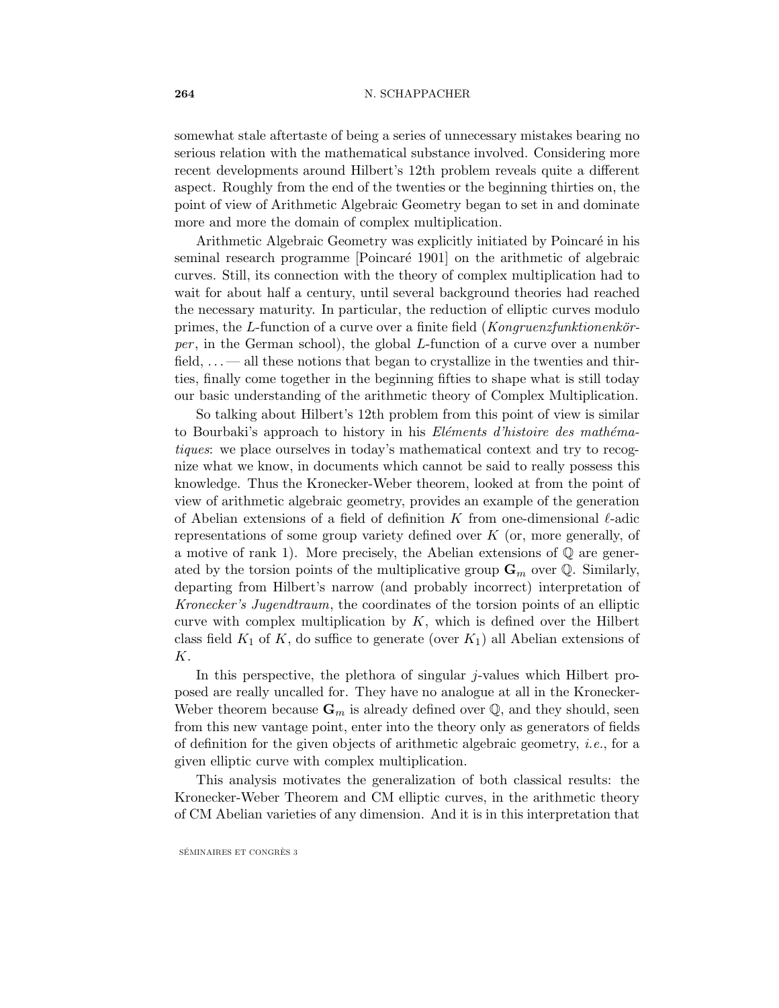#### **264** N.SCHAPPACHER

somewhat stale aftertaste of being a series of unnecessary mistakes bearing no serious relation with the mathematical substance involved. Considering more recent developments around Hilbert's 12th problem reveals quite a different aspect. Roughly from the end of the twenties or the beginning thirties on, the point of view of Arithmetic Algebraic Geometry began to set in and dominate more and more the domain of complex multiplication.

Arithmetic Algebraic Geometry was explicitly initiated by Poincaré in his seminal research programme [Poincaré 1901] on the arithmetic of algebraic curves. Still, its connection with the theory of complex multiplication had to wait for about half a century, until several background theories had reached the necessary maturity. In particular, the reduction of elliptic curves modulo primes, the L-function of a curve over a finite field  $(Kongruenz funktionenkör$ per, in the German school), the global  $L$ -function of a curve over a number field,  $\dots$  — all these notions that began to crystallize in the twenties and thirties, finally come together in the beginning fifties to shape what is still today our basic understanding of the arithmetic theory of Complex Multiplication.

So talking about Hilbert's 12th problem from this point of view is similar to Bourbaki's approach to history in his Eléments d'histoire des mathématiques: we place ourselves in today's mathematical context and try to recognize what we know, in documents which cannot be said to really possess this knowledge. Thus the Kronecker-Weber theorem, looked at from the point of view of arithmetic algebraic geometry, provides an example of the generation of Abelian extensions of a field of definition K from one-dimensional  $\ell$ -adic representations of some group variety defined over  $K$  (or, more generally, of a motive of rank 1). More precisely, the Abelian extensions of  $\mathbb Q$  are generated by the torsion points of the multiplicative group  $\mathbf{G}_m$  over  $\mathbb{Q}$ . Similarly, departing from Hilbert's narrow (and probably incorrect) interpretation of Kronecker's Jugendtraum, the coordinates of the torsion points of an elliptic curve with complex multiplication by  $K$ , which is defined over the Hilbert class field  $K_1$  of K, do suffice to generate (over  $K_1$ ) all Abelian extensions of K.

In this perspective, the plethora of singular  $i$ -values which Hilbert proposed are really uncalled for. They have no analogue at all in the Kronecker-Weber theorem because  $\mathbf{G}_m$  is already defined over  $\mathbb{Q}$ , and they should, seen from this new vantage point, enter into the theory only as generators of fields of definition for the given objects of arithmetic algebraic geometry, i.e., for a given elliptic curve with complex multiplication.

This analysis motivates the generalization of both classical results: the Kronecker-Weber Theorem and CM elliptic curves, in the arithmetic theory of CM Abelian varieties of any dimension. And it is in this interpretation that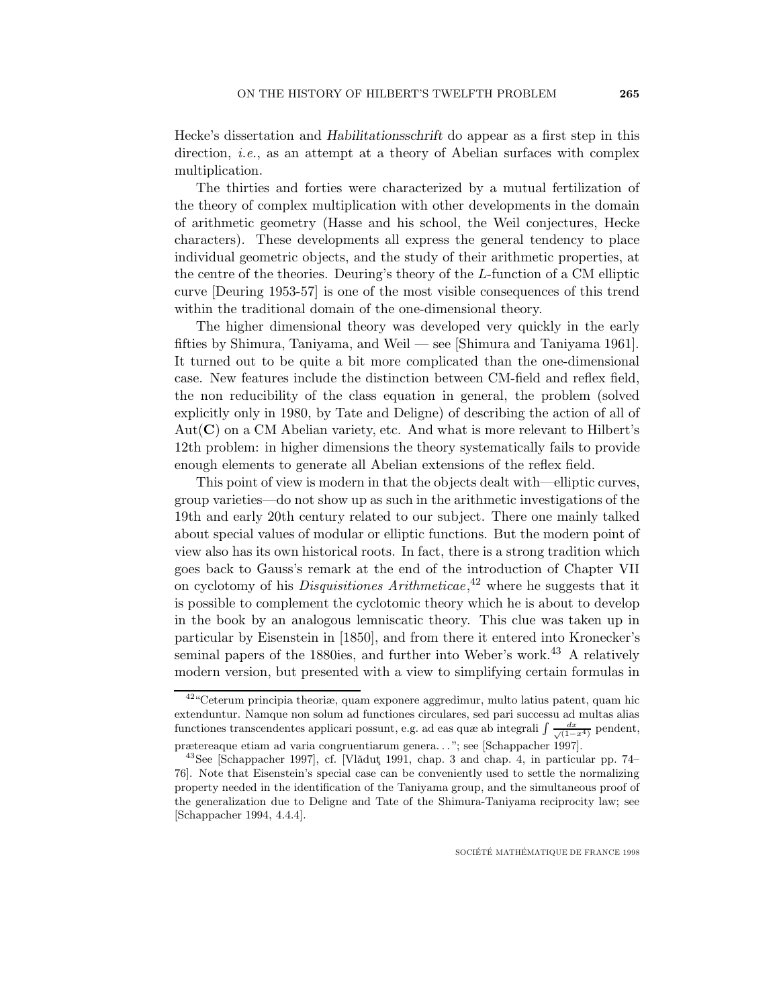Hecke's dissertation and *Habilitationsschrift* do appear as a first step in this direction, *i.e.*, as an attempt at a theory of Abelian surfaces with complex multiplication.

The thirties and forties were characterized by a mutual fertilization of the theory of complex multiplication with other developments in the domain of arithmetic geometry (Hasse and his school, the Weil conjectures, Hecke characters). These developments all express the general tendency to place individual geometric objects, and the study of their arithmetic properties, at the centre of the theories. Deuring's theory of the L-function of a CM elliptic curve [Deuring 1953-57] is one of the most visible consequences of this trend within the traditional domain of the one-dimensional theory.

The higher dimensional theory was developed very quickly in the early fifties by Shimura, Taniyama, and Weil — see [Shimura and Taniyama 1961]. It turned out to be quite a bit more complicated than the one-dimensional case. New features include the distinction between CM-field and reflex field, the non reducibility of the class equation in general, the problem (solved explicitly only in 1980, by Tate and Deligne) of describing the action of all of Aut(**C**) on a CM Abelian variety, etc. And what is more relevant to Hilbert's 12th problem: in higher dimensions the theory systematically fails to provide enough elements to generate all Abelian extensions of the reflex field.

This point of view is modern in that the objects dealt with—elliptic curves, group varieties—do not show up as such in the arithmetic investigations of the 19th and early 20th century related to our subject. There one mainly talked about special values of modular or elliptic functions. But the modern point of view also has its own historical roots. In fact, there is a strong tradition which goes back to Gauss's remark at the end of the introduction of Chapter VII on cyclotomy of his *Disquisitiones Arithmeticae*,<sup>42</sup> where he suggests that it is possible to complement the cyclotomic theory which he is about to develop in the book by an analogous lemniscatic theory. This clue was taken up in particular by Eisenstein in [1850], and from there it entered into Kronecker's seminal papers of the 1880ies, and further into Weber's work.<sup>43</sup> A relatively modern version, but presented with a view to simplifying certain formulas in

<sup>42</sup>"Ceterum principia theoriæ, quam exponere aggredimur, multo latius patent, quam hic extenduntur.Namque non solum ad functiones circulares, sed pari successu ad multas alias functiones transcendentes applicari possunt, e.g. ad eas quæ ab integrali  $\int \frac{dx}{\sqrt{1-x^4}}$  pendent, prætereaque etiam ad varia congruentiarum genera..."; see [Schappacher 1997].

 $43$ See [Schappacher 1997], cf. [Vlǎduţ 1991, chap. 3 and chap. 4, in particular pp. 74– 76].Note that Eisenstein's special case can be conveniently used to settle the normalizing property needed in the identification of the Taniyama group, and the simultaneous proof of the generalization due to Deligne and Tate of the Shimura-Taniyama reciprocity law; see [Schappacher 1994, 4.4.4].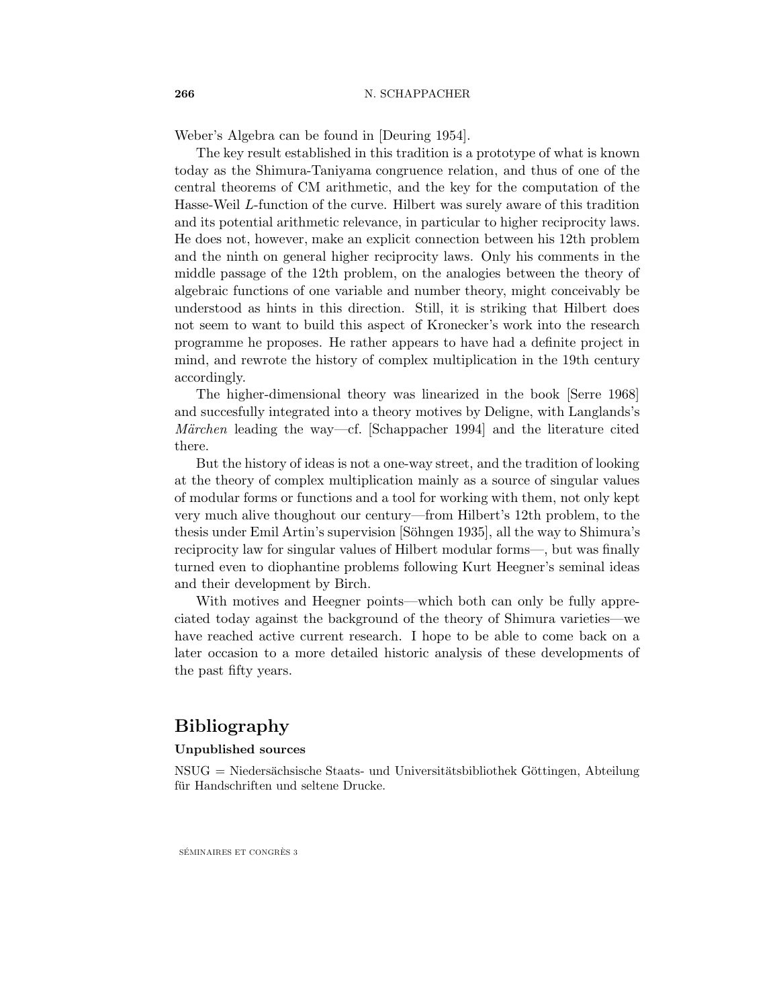Weber's Algebra can be found in [Deuring 1954].

The key result established in this tradition is a prototype of what is known today as the Shimura-Taniyama congruence relation, and thus of one of the central theorems of CM arithmetic, and the key for the computation of the Hasse-Weil L-function of the curve. Hilbert was surely aware of this tradition and its potential arithmetic relevance, in particular to higher reciprocity laws. He does not, however, make an explicit connection between his 12th problem and the ninth on general higher reciprocity laws. Only his comments in the middle passage of the 12th problem, on the analogies between the theory of algebraic functions of one variable and number theory, might conceivably be understood as hints in this direction. Still, it is striking that Hilbert does not seem to want to build this aspect of Kronecker's work into the research programme he proposes. He rather appears to have had a definite project in mind, and rewrote the history of complex multiplication in the 19th century accordingly.

The higher-dimensional theory was linearized in the book [Serre 1968] and succesfully integrated into a theory motives by Deligne, with Langlands's *Märchen* leading the way—cf. [Schappacher 1994] and the literature cited there.

But the history of ideas is not a one-way street, and the tradition of looking at the theory of complex multiplication mainly as a source of singular values of modular forms or functions and a tool for working with them, not only kept very much alive thoughout our century—from Hilbert's 12th problem, to the thesis under Emil Artin's supervision [Söhngen 1935], all the way to Shimura's reciprocity law for singular values of Hilbert modular forms—, but was finally turned even to diophantine problems following Kurt Heegner's seminal ideas and their development by Birch.

With motives and Heegner points—which both can only be fully appreciated today against the background of the theory of Shimura varieties—we have reached active current research. I hope to be able to come back on a later occasion to a more detailed historic analysis of these developments of the past fifty years.

## **Bibliography**

#### **Unpublished sources**

 $NSUG =$  Niedersächsische Staats- und Universitätsbibliothek Göttingen, Abteilung für Handschriften und seltene Drucke.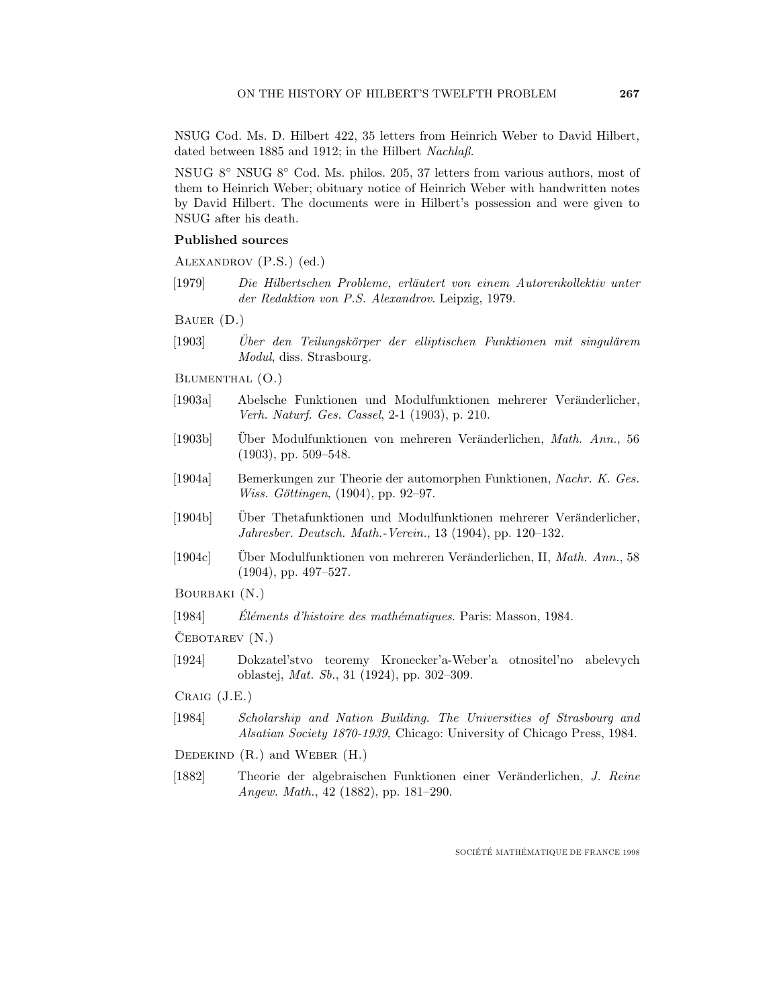NSUG Cod. Ms. D. Hilbert 422, 35 letters from Heinrich Weber to David Hilbert, dated between 1885 and 1912; in the Hilbert Nachlaß.

NSUG 8◦ NSUG 8◦ Cod. Ms. philos. 205, 37 letters from various authors, most of them to Heinrich Weber; obituary notice of Heinrich Weber with handwritten notes by David Hilbert. The documents were in Hilbert's possession and were given to NSUG after his death.

#### **Published sources**

Alexandrov (P.S.) (ed.)

[1979] Die Hilbertschen Probleme, erl¨autert von einem Autorenkollektiv unter der Redaktion von P.S. Alexandrov. Leipzig, 1979.

Bauer (D.)

[1903] Über den Teilungskörper der elliptischen Funktionen mit singulärem Modul, diss. Strasbourg.

BLUMENTHAL  $(O.)$ 

- [1903a] Abelsche Funktionen und Modulfunktionen mehrerer Veränderlicher, Verh. Naturf. Ges. Cassel, 2-1 (1903), p. 210.
- [1903b] Über Modulfunktionen von mehreren Veränderlichen, Math. Ann., 56 (1903), pp. 509–548.
- [1904a] Bemerkungen zur Theorie der automorphen Funktionen, Nachr. K. Ges. Wiss. Göttingen, (1904), pp. 92–97.
- [1904b] Über Thetafunktionen und Modulfunktionen mehrerer Veränderlicher, Jahresber. Deutsch. Math.-Verein., 13 (1904), pp. 120–132.
- [1904c] Uber Modulfunktionen von mehreren Veränderlichen, II, Math. Ann., 58 (1904), pp. 497–527.

Bourbaki (N.)

[1984] Eléments d'histoire des mathématiques. Paris: Masson, 1984.

 $C$ EBOTAREV  $(N.)$ 

[1924] Dokzatel'stvo teoremy Kronecker'a-Weber'a otnositel'no abelevych oblastej, Mat. Sb., 31 (1924), pp. 302–309.

CRAIG (J.E.)

- [1984] Scholarship and Nation Building. The Universities of Strasbourg and Alsatian Society 1870-1939, Chicago: University of Chicago Press, 1984.
- DEDEKIND  $(R.)$  and WEBER  $(H.)$
- [1882] Theorie der algebraischen Funktionen einer Veränderlichen, J. Reine Angew. Math., 42 (1882), pp. 181–290.

SOCIÉTÉ MATHÉMATIQUE DE FRANCE 1998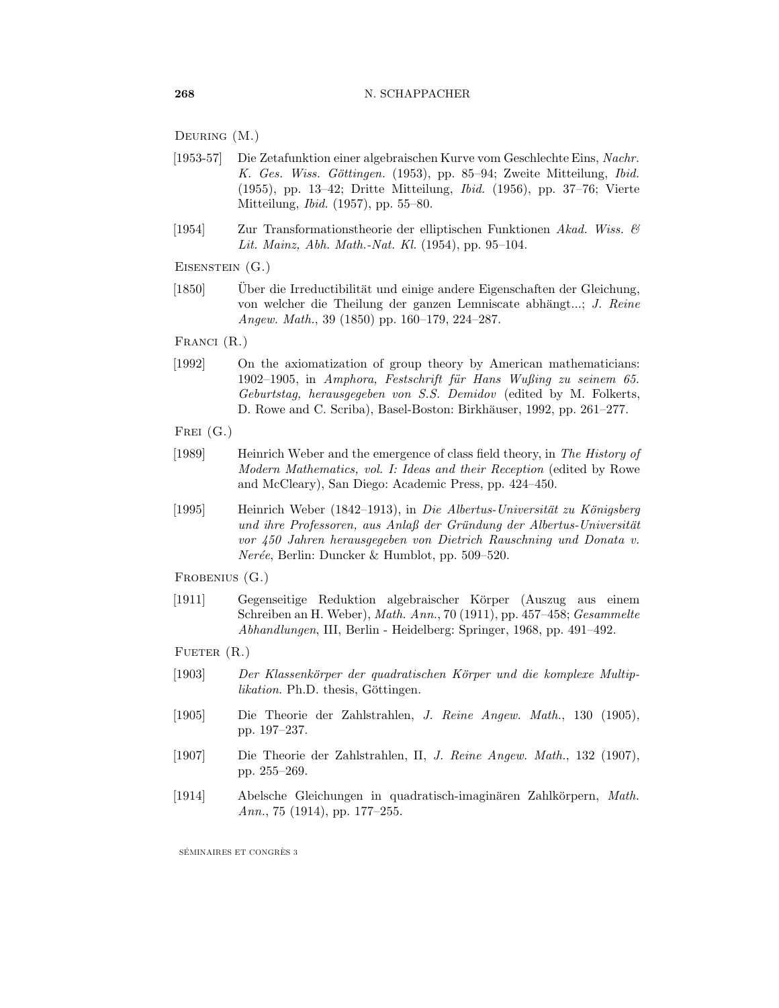DEURING  $(M.)$ 

- [1953-57] Die Zetafunktion einer algebraischen Kurve vom Geschlechte Eins, Nachr. K. Ges. Wiss. Göttingen. (1953), pp. 85–94; Zweite Mitteilung, Ibid. (1955), pp. 13–42; Dritte Mitteilung, Ibid. (1956), pp. 37–76; Vierte Mitteilung, Ibid. (1957), pp. 55–80.
- [1954] Zur Transformationstheorie der elliptischen Funktionen Akad. Wiss. & Lit. Mainz, Abh. Math.-Nat. Kl. (1954), pp. 95–104.

EISENSTEIN  $(G.)$ 

[1850] Uber die Irreductibilität und einige andere Eigenschaften der Gleichung, von welcher die Theilung der ganzen Lemniscate abhängt...; J. Reine Angew. Math., 39 (1850) pp. 160–179, 224–287.

Franci (R.)

- [1992] On the axiomatization of group theory by American mathematicians: 1902–1905, in Amphora, Festschrift für Hans Wußing zu seinem 65. Geburtstag, herausgegeben von S.S. Demidov (edited by M. Folkerts, D. Rowe and C. Scriba), Basel-Boston: Birkhäuser, 1992, pp. 261–277.
- FREI  $(G.)$
- [1989] Heinrich Weber and the emergence of class field theory, in The History of Modern Mathematics, vol. I: Ideas and their Reception (edited by Rowe and McCleary), San Diego: Academic Press, pp. 424–450.
- [1995] Heinrich Weber (1842–1913), in Die Albertus-Universität zu Königsberg und ihre Professoren, aus Anlaß der Gründung der Albertus-Universität vor 450 Jahren herausgegeben von Dietrich Rauschning und Donata v.  $Ner\acute{e}e$ , Berlin: Duncker & Humblot, pp. 509–520.

Frobenius (G.)

[1911] Gegenseitige Reduktion algebraischer K¨orper (Auszug aus einem Schreiben an H. Weber), Math. Ann., 70 (1911), pp. 457–458; Gesammelte Abhandlungen, III, Berlin - Heidelberg: Springer, 1968, pp. 491–492.

FUETER  $(R.)$ 

- [1903] Der Klassenk¨orper der quadratischen K¨orper und die komplexe Multip $likation. Ph.D. thesis, Göttingen.$
- [1905] Die Theorie der Zahlstrahlen, J. Reine Angew. Math., 130 (1905), pp. 197–237.
- [1907] Die Theorie der Zahlstrahlen, II, J. Reine Angew. Math., 132 (1907), pp. 255–269.
- [1914] Abelsche Gleichungen in quadratisch-imaginären Zahlkörpern, Math. Ann., 75 (1914), pp. 177–255.

SÉMINAIRES ET CONGRÈS 3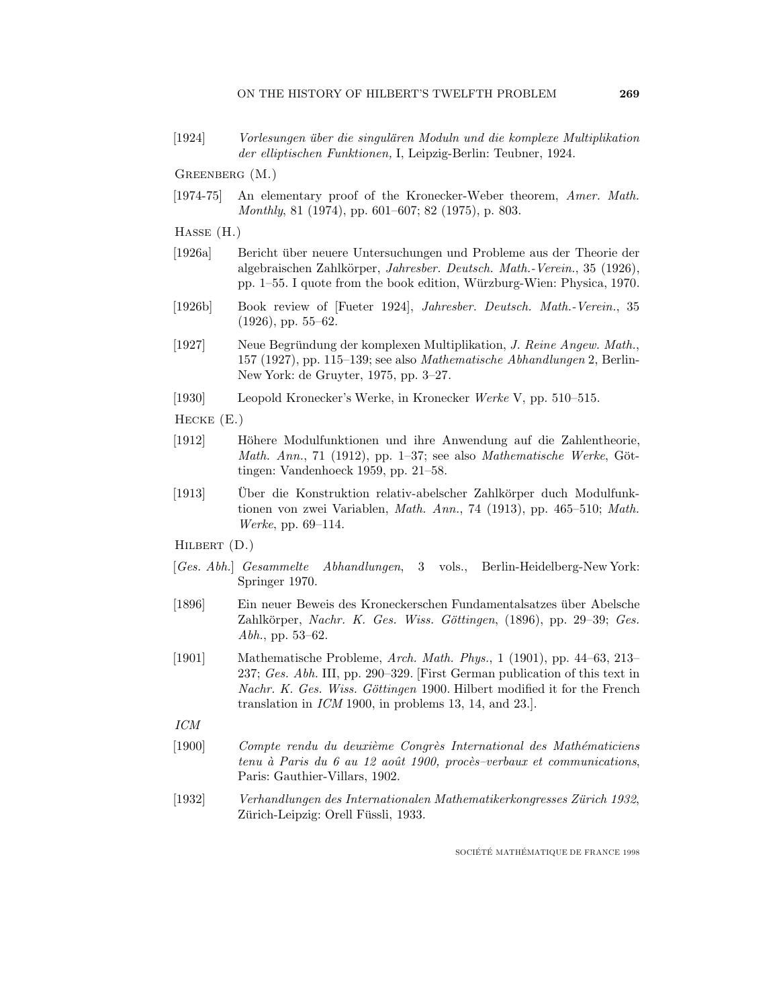[1924] Vorlesungen über die singulären Moduln und die komplexe Multiplikation der elliptischen Funktionen, I, Leipzig-Berlin: Teubner, 1924.

Greenberg (M.)

[1974-75] An elementary proof of the Kronecker-Weber theorem, Amer. Math. Monthly, 81 (1974), pp. 601–607; 82 (1975), p. 803.

Hasse (H.)

- [1926a] Bericht uber neuere Untersuchungen und Probleme aus der Theorie der ¨ algebraischen Zahlkörper, Jahresber. Deutsch. Math.-Verein., 35 (1926), pp. 1–55. I quote from the book edition, Würzburg-Wien: Physica, 1970.
- [1926b] Book review of [Fueter 1924], Jahresber. Deutsch. Math.-Verein., 35 (1926), pp. 55–62.
- [1927] Neue Begründung der komplexen Multiplikation, *J. Reine Angew. Math.*, 157 (1927), pp. 115–139; see also Mathematische Abhandlungen 2, Berlin-New York: de Gruyter, 1975, pp. 3–27.
- [1930] Leopold Kronecker's Werke, in Kronecker Werke V, pp. 510–515.

HECKE  $(E.)$ 

- [1912] Höhere Modulfunktionen und ihre Anwendung auf die Zahlentheorie, Math. Ann., 71 (1912), pp. 1–37; see also Mathematische Werke, Göttingen: Vandenhoeck 1959, pp. 21–58.
- [1913] Uber die Konstruktion relativ-abelscher Zahlkörper duch Modulfunktionen von zwei Variablen, Math. Ann., 74 (1913), pp. 465–510; Math. Werke, pp. 69–114.

HILBERT (D.)

- [Ges. Abh.] Gesammelte Abhandlungen, 3 vols., Berlin-Heidelberg-New York: Springer 1970.
- [1896] Ein neuer Beweis des Kroneckerschen Fundamentalsatzes über Abelsche Zahlkörper, Nachr. K. Ges. Wiss. Göttingen, (1896), pp. 29–39; Ges. Abh., pp. 53–62.
- [1901] Mathematische Probleme, Arch. Math. Phys., 1 (1901), pp. 44–63, 213– 237; Ges. Abh. III, pp. 290–329. [First German publication of this text in Nachr. K. Ges. Wiss. Göttingen 1900. Hilbert modified it for the French translation in ICM 1900, in problems 13, 14, and 23.].

ICM

- [1900] Compte rendu du deuxième Congrès International des Mathématiciens  $tenu \, \dot{a}$  Paris du 6 au 12 août 1900, procès-verbaux et communications, Paris: Gauthier-Villars, 1902.
- $[1932]$  Verhandlungen des Internationalen Mathematikerkongresses Zürich 1932, Zürich-Leipzig: Orell Füssli, 1933.

SOCIÉTÉ MATHÉMATIQUE DE FRANCE 1998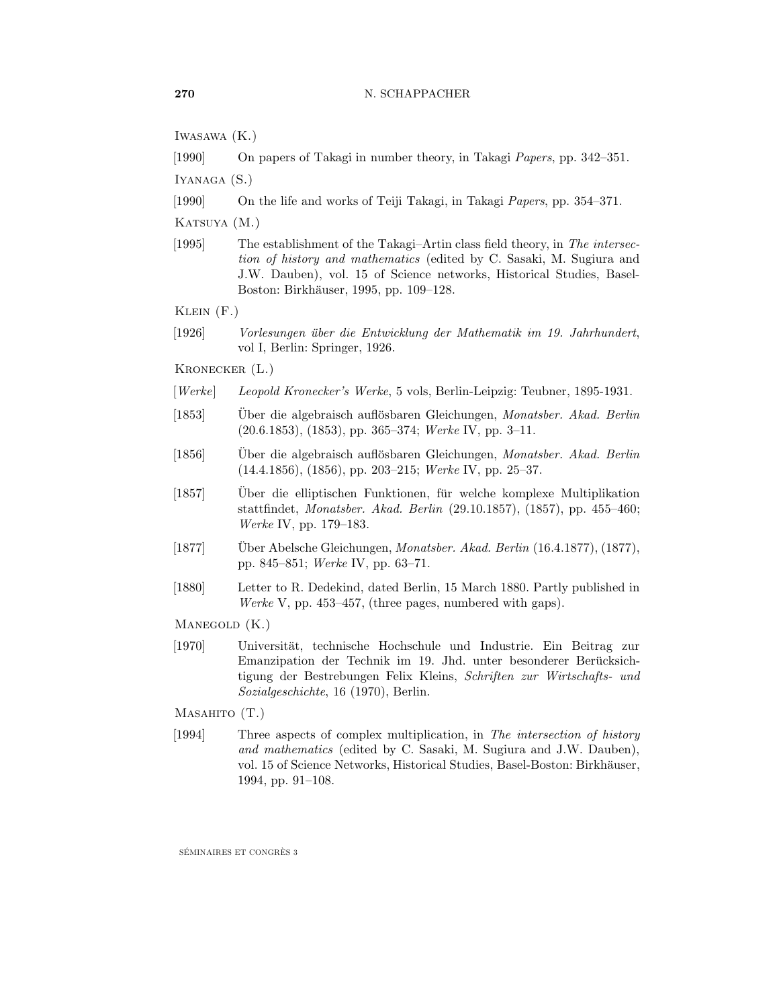Iwasawa (K.)

[1990] On papers of Takagi in number theory, in Takagi Papers, pp. 342–351.

Iyanaga (S.)

[1990] On the life and works of Teiji Takagi, in Takagi Papers, pp. 354–371.

KATSUYA (M.)

[1995] The establishment of the Takagi–Artin class field theory, in The intersection of history and mathematics (edited by C. Sasaki, M. Sugiura and J.W. Dauben), vol. 15 of Science networks, Historical Studies, Basel-Boston: Birkhäuser, 1995, pp. 109–128.

Klein (F.)

 $[1926]$  Vorlesungen über die Entwicklung der Mathematik im 19. Jahrhundert, vol I, Berlin: Springer, 1926.

Kronecker (L.)

- [Werke] Leopold Kronecker's Werke, 5 vols, Berlin-Leipzig: Teubner, 1895-1931.
- [1853] Uber die algebraisch auflösbaren Gleichungen, Monatsber. Akad. Berlin (20.6.1853), (1853), pp. 365–374; Werke IV, pp. 3–11.
- [1856] Über die algebraisch auflösbaren Gleichungen, Monatsber. Akad. Berlin (14.4.1856), (1856), pp. 203–215; Werke IV, pp. 25–37.
- [1857] Uber die elliptischen Funktionen, für welche komplexe Multiplikation stattfindet, Monatsber. Akad. Berlin (29.10.1857), (1857), pp. 455–460; Werke IV, pp. 179–183.
- [1877] Uber Abelsche Gleichungen, Monatsber. Akad. Berlin (16.4.1877), (1877), pp. 845–851; Werke IV, pp. 63–71.
- [1880] Letter to R. Dedekind, dated Berlin, 15 March 1880. Partly published in Werke V, pp. 453–457, (three pages, numbered with gaps).

Manegold (K.)

[1970] Universit¨at, technische Hochschule und Industrie. Ein Beitrag zur Emanzipation der Technik im 19. Jhd. unter besonderer Berücksichtigung der Bestrebungen Felix Kleins, Schriften zur Wirtschafts- und Sozialgeschichte, 16 (1970), Berlin.

Masahito (T.)

[1994] Three aspects of complex multiplication, in The intersection of history and mathematics (edited by C. Sasaki, M. Sugiura and J.W. Dauben), vol. 15 of Science Networks, Historical Studies, Basel-Boston: Birkhäuser, 1994, pp. 91–108.

SÉMINAIRES ET CONGRÈS 3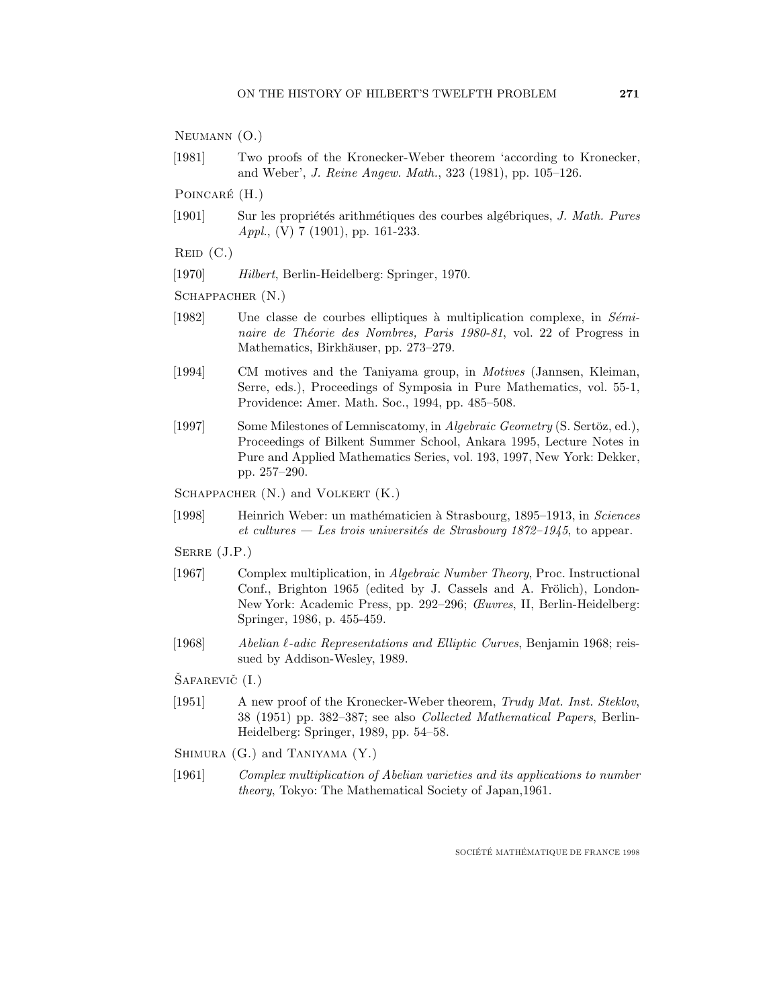Neumann (O.)

- [1981] Two proofs of the Kronecker-Weber theorem 'according to Kronecker, and Weber', J. Reine Angew. Math., 323 (1981), pp. 105–126.
- POINCARÉ (H.)
- [1901] Sur les propriétés arithmétiques des courbes algébriques, J. Math. Pures Appl., (V) 7 (1901), pp. 161-233.
- $RED (C.)$
- [1970] Hilbert, Berlin-Heidelberg: Springer, 1970.

SCHAPPACHER  $(N.)$ 

- [1982] Une classe de courbes elliptiques à multiplication complexe, in  $Sémi$ naire de Théorie des Nombres, Paris 1980-81, vol. 22 of Progress in Mathematics, Birkhäuser, pp. 273–279.
- [1994] CM motives and the Taniyama group, in Motives (Jannsen, Kleiman, Serre, eds.), Proceedings of Symposia in Pure Mathematics, vol. 55-1, Providence: Amer. Math. Soc., 1994, pp. 485–508.
- [1997] Some Milestones of Lemniscatomy, in *Algebraic Geometry* (S. Sertöz, ed.), Proceedings of Bilkent Summer School, Ankara 1995, Lecture Notes in Pure and Applied Mathematics Series, vol. 193, 1997, New York: Dekker, pp. 257–290.

SCHAPPACHER (N.) and VOLKERT (K.)

[1998] Heinrich Weber: un mathématicien à Strasbourg, 1895–1913, in Sciences et cultures — Les trois universités de Strasbourg  $1872-1945$ , to appear.

SERRE  $(J.P.)$ 

- [1967] Complex multiplication, in Algebraic Number Theory, Proc. Instructional Conf., Brighton 1965 (edited by J. Cassels and A. Frölich), London-New York: Academic Press, pp. 292–296; Œuvres, II, Berlin-Heidelberg: Springer, 1986, p. 455-459.
- [1968] Abelian  $\ell$ -adic Representations and Elliptic Curves, Benjamin 1968; reissued by Addison-Wesley, 1989.

ŠAFAREVIČ (I.)

- [1951] A new proof of the Kronecker-Weber theorem, Trudy Mat. Inst. Steklov, 38 (1951) pp. 382–387; see also Collected Mathematical Papers, Berlin-Heidelberg: Springer, 1989, pp. 54–58.
- SHIMURA (G.) and TANIYAMA (Y.)
- [1961] Complex multiplication of Abelian varieties and its applications to number theory, Tokyo: The Mathematical Society of Japan,1961.

SOCIÉTÉ MATHÉMATIQUE DE FRANCE 1998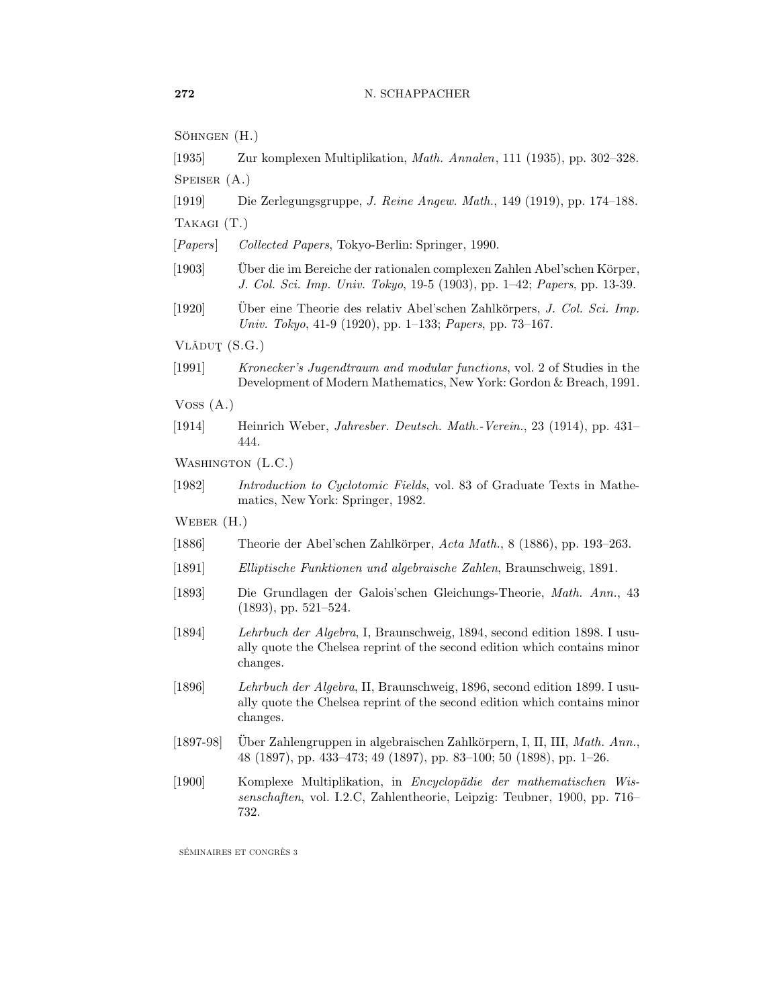$S\ddot{o}$ hngen  $(H.)$ 

- [1935] Zur komplexen Multiplikation, Math. Annalen, 111 (1935), pp. 302–328. Speiser (A.)
- [1919] Die Zerlegungsgruppe, J. Reine Angew. Math., 149 (1919), pp. 174–188.
- Takagi (T.)
- [Papers] Collected Papers, Tokyo-Berlin: Springer, 1990.
- [1903] Uber die im Bereiche der rationalen complexen Zahlen Abel'schen Körper, J. Col. Sci. Imp. Univ. Tokyo, 19-5 (1903), pp. 1–42; Papers, pp. 13-39.
- [1920] Über eine Theorie des relativ Abel'schen Zahlkörpers, J. Col. Sci. Imp. Univ. Tokyo, 41-9 (1920), pp. 1–133; Papers, pp. 73–167.
- VLĂDUȚ $(S.G.)$
- [1991] Kronecker's Jugendtraum and modular functions, vol. 2 of Studies in the Development of Modern Mathematics, New York: Gordon & Breach, 1991.
- Voss (A.)
- [1914] Heinrich Weber, Jahresber. Deutsch. Math.-Verein., 23 (1914), pp. 431– 444.
- WASHINGTON  $(L.C.)$
- [1982] Introduction to Cyclotomic Fields, vol. 83 of Graduate Texts in Mathematics, New York: Springer, 1982.

Weber (H.)

- [1886] Theorie der Abel'schen Zahlkörper, Acta Math., 8 (1886), pp. 193–263.
- [1891] Elliptische Funktionen und algebraische Zahlen, Braunschweig, 1891.
- [1893] Die Grundlagen der Galois'schen Gleichungs-Theorie, Math. Ann., 43 (1893), pp. 521–524.
- [1894] Lehrbuch der Algebra, I, Braunschweig, 1894, second edition 1898. I usually quote the Chelsea reprint of the second edition which contains minor changes.
- [1896] Lehrbuch der Algebra, II, Braunschweig, 1896, second edition 1899. I usually quote the Chelsea reprint of the second edition which contains minor changes.
- [1897-98] Über Zahlengruppen in algebraischen Zahlkörpern, I, II, III, Math. Ann., 48 (1897), pp. 433–473; 49 (1897), pp. 83–100; 50 (1898), pp. 1–26.
- [1900] Komplexe Multiplikation, in Encyclopädie der mathematischen Wissenschaften, vol. I.2.C, Zahlentheorie, Leipzig: Teubner, 1900, pp. 716– 732.

SÉMINAIRES ET CONGRÈS 3